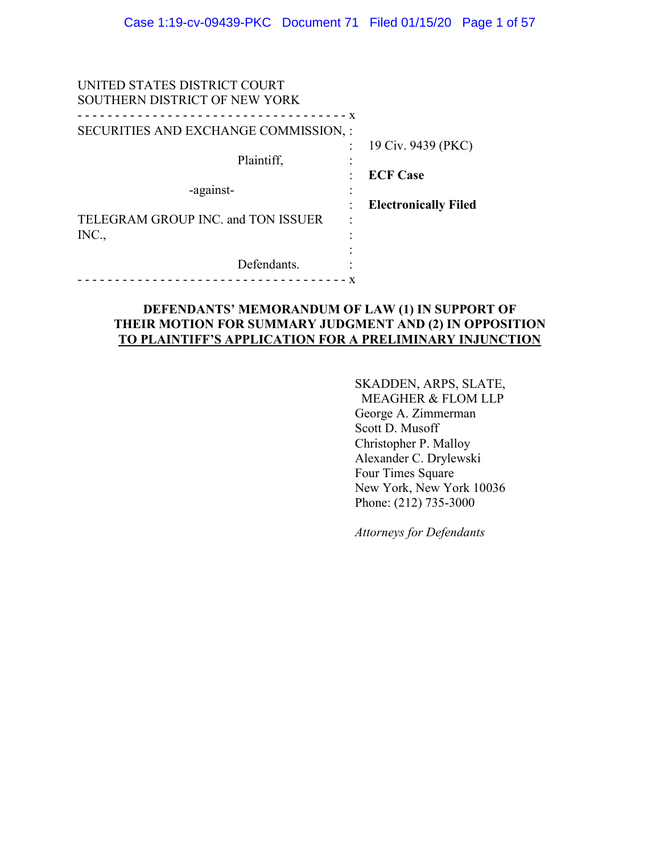| UNITED STATES DISTRICT COURT<br>SOUTHERN DISTRICT OF NEW YORK |                             |
|---------------------------------------------------------------|-----------------------------|
| $- x$                                                         |                             |
| SECURITIES AND EXCHANGE COMMISSION, :                         |                             |
|                                                               | 19 Civ. 9439 (PKC)          |
| Plaintiff,                                                    |                             |
|                                                               | <b>ECF Case</b>             |
| -against-                                                     |                             |
|                                                               | <b>Electronically Filed</b> |
| TELEGRAM GROUP INC. and TON ISSUER                            |                             |
| INC.,                                                         |                             |
|                                                               |                             |
| Defendants.                                                   |                             |
|                                                               |                             |
|                                                               |                             |

### **DEFENDANTS' MEMORANDUM OF LAW (1) IN SUPPORT OF THEIR MOTION FOR SUMMARY JUDGMENT AND (2) IN OPPOSITION TO PLAINTIFF'S APPLICATION FOR A PRELIMINARY INJUNCTION**

SKADDEN, ARPS, SLATE, MEAGHER & FLOM LLP George A. Zimmerman Scott D. Musoff Christopher P. Malloy Alexander C. Drylewski Four Times Square New York, New York 10036 Phone: (212) 735-3000

*Attorneys for Defendants*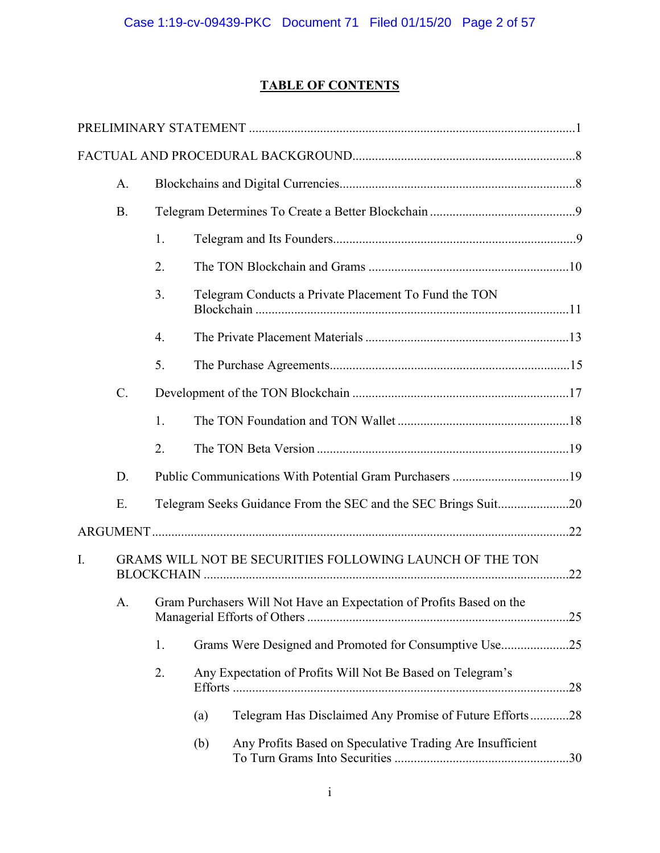## **TABLE OF CONTENTS**

|    | A.        |    |     |                                                                         |  |
|----|-----------|----|-----|-------------------------------------------------------------------------|--|
|    | <b>B.</b> |    |     |                                                                         |  |
|    |           | 1. |     |                                                                         |  |
|    |           | 2. |     |                                                                         |  |
|    |           | 3. |     | Telegram Conducts a Private Placement To Fund the TON                   |  |
|    |           | 4. |     |                                                                         |  |
|    |           | 5. |     |                                                                         |  |
|    | $C$ .     |    |     |                                                                         |  |
|    |           | 1. |     |                                                                         |  |
|    |           | 2. |     |                                                                         |  |
|    | D.        |    |     |                                                                         |  |
|    | Ε.        |    |     |                                                                         |  |
|    |           |    |     |                                                                         |  |
| I. |           |    |     | GRAMS WILL NOT BE SECURITIES FOLLOWING LAUNCH OF THE TON                |  |
|    |           |    |     | A. Gram Purchasers Will Not Have an Expectation of Profits Based on the |  |
|    |           | 1. |     | Grams Were Designed and Promoted for Consumptive Use25                  |  |
|    |           | 2. |     | Any Expectation of Profits Will Not Be Based on Telegram's              |  |
|    |           |    | (a) | Telegram Has Disclaimed Any Promise of Future Efforts28                 |  |
|    |           |    | (b) | Any Profits Based on Speculative Trading Are Insufficient               |  |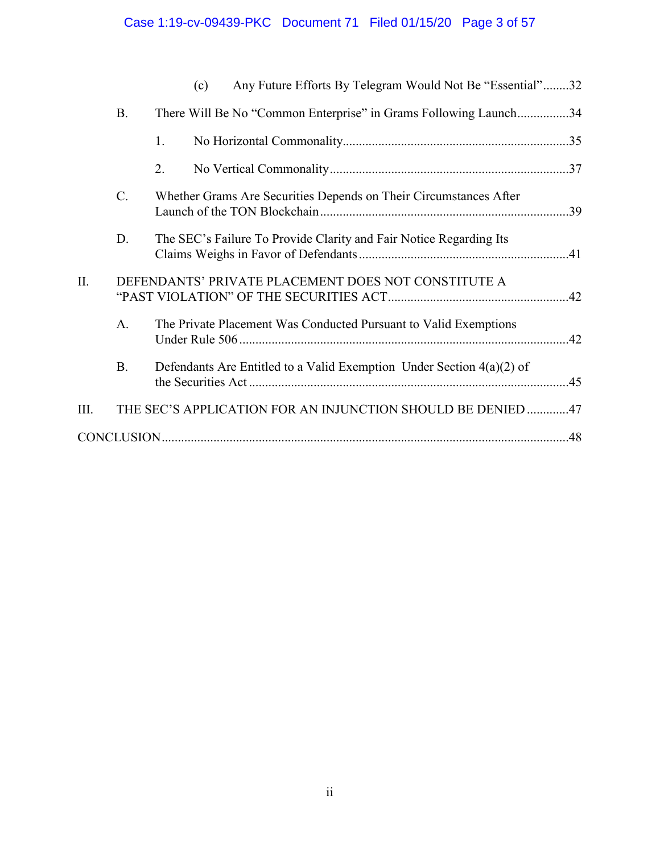## Case 1:19-cv-09439-PKC Document 71 Filed 01/15/20 Page 3 of 57

|      |           | Any Future Efforts By Telegram Would Not Be "Essential"32<br>(c)        |
|------|-----------|-------------------------------------------------------------------------|
|      | <b>B.</b> | There Will Be No "Common Enterprise" in Grams Following Launch34        |
|      |           | 1.                                                                      |
|      |           | 2.                                                                      |
|      | C.        | Whether Grams Are Securities Depends on Their Circumstances After       |
|      | D.        | The SEC's Failure To Provide Clarity and Fair Notice Regarding Its      |
| Π.   |           | DEFENDANTS' PRIVATE PLACEMENT DOES NOT CONSTITUTE A                     |
|      | A.        | The Private Placement Was Conducted Pursuant to Valid Exemptions        |
|      | <b>B.</b> | Defendants Are Entitled to a Valid Exemption Under Section $4(a)(2)$ of |
| III. |           | THE SEC'S APPLICATION FOR AN INJUNCTION SHOULD BE DENIED 47             |
|      |           |                                                                         |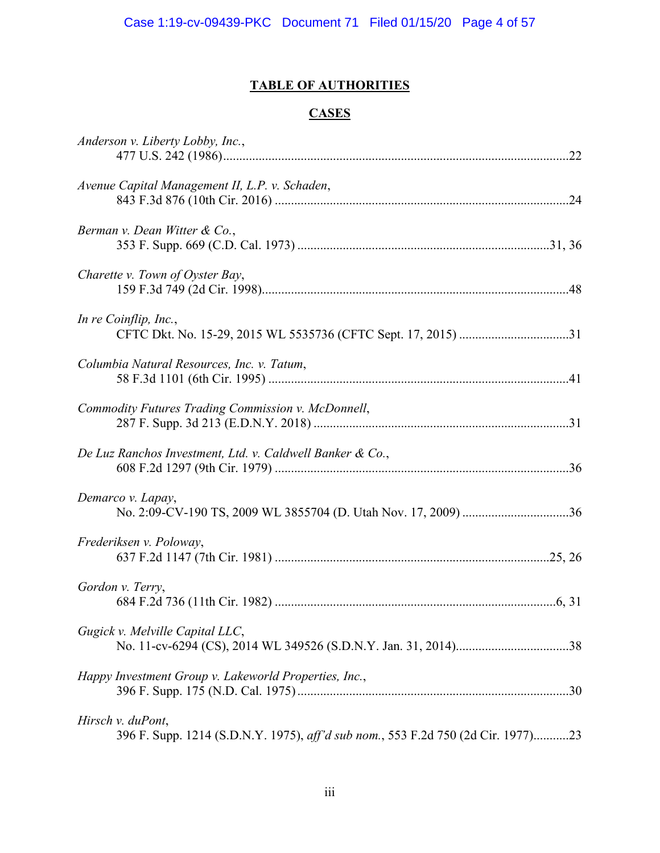## **TABLE OF AUTHORITIES**

### **CASES**

| Anderson v. Liberty Lobby, Inc.,                                                                      |
|-------------------------------------------------------------------------------------------------------|
| Avenue Capital Management II, L.P. v. Schaden,                                                        |
| Berman v. Dean Witter & Co.,                                                                          |
| Charette v. Town of Oyster Bay,                                                                       |
| In re Coinflip, Inc.,                                                                                 |
| Columbia Natural Resources, Inc. v. Tatum,                                                            |
| Commodity Futures Trading Commission v. McDonnell,                                                    |
| De Luz Ranchos Investment, Ltd. v. Caldwell Banker & Co.,                                             |
| Demarco v. Lapay,                                                                                     |
| Frederiksen v. Poloway,                                                                               |
| Gordon v. Terry,                                                                                      |
| Gugick v. Melville Capital LLC,                                                                       |
| Happy Investment Group v. Lakeworld Properties, Inc.,                                                 |
| Hirsch v. duPont,<br>396 F. Supp. 1214 (S.D.N.Y. 1975), aff'd sub nom., 553 F.2d 750 (2d Cir. 1977)23 |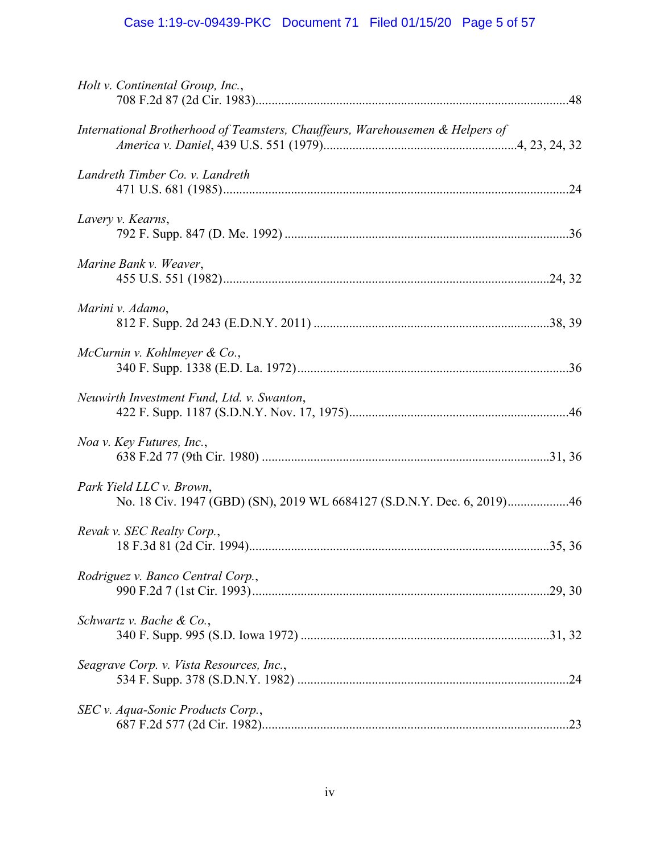# Case 1:19-cv-09439-PKC Document 71 Filed 01/15/20 Page 5 of 57

| Holt v. Continental Group, Inc.,                                                                   |
|----------------------------------------------------------------------------------------------------|
| International Brotherhood of Teamsters, Chauffeurs, Warehousemen & Helpers of                      |
| Landreth Timber Co. v. Landreth                                                                    |
| Lavery v. Kearns,                                                                                  |
| Marine Bank v. Weaver,                                                                             |
| Marini v. Adamo,                                                                                   |
| McCurnin v. Kohlmeyer & Co.,                                                                       |
| Neuwirth Investment Fund, Ltd. v. Swanton,                                                         |
| Noa v. Key Futures, Inc.,                                                                          |
| Park Yield LLC v. Brown,<br>No. 18 Civ. 1947 (GBD) (SN), 2019 WL 6684127 (S.D.N.Y. Dec. 6, 2019)46 |
| Revak v. SEC Realty Corp.,                                                                         |
| Rodriguez v. Banco Central Corp.,                                                                  |
| Schwartz v. Bache & Co.,                                                                           |
| Seagrave Corp. v. Vista Resources, Inc.,                                                           |
| SEC v. Aqua-Sonic Products Corp.,                                                                  |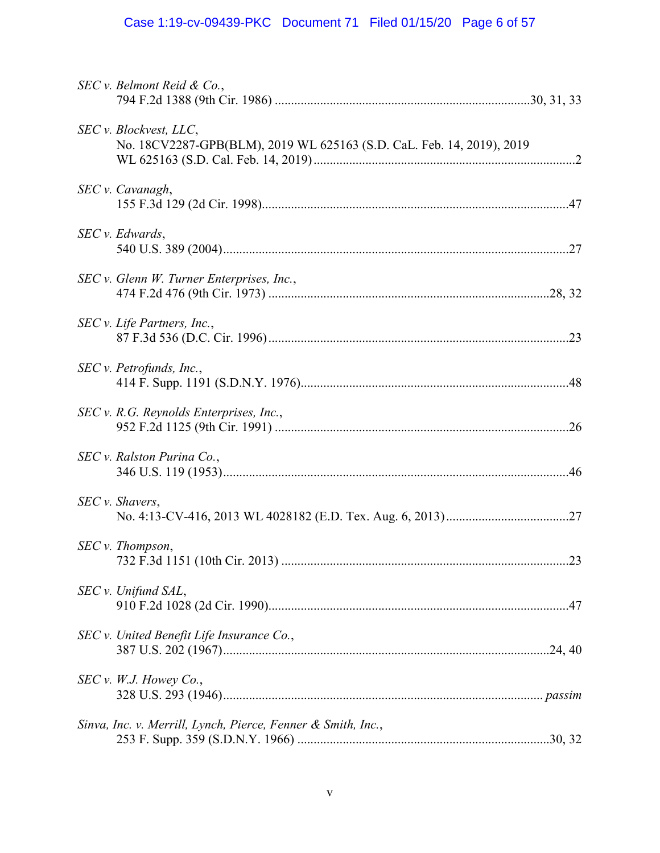# Case 1:19-cv-09439-PKC Document 71 Filed 01/15/20 Page 6 of 57

| SEC v. Belmont Reid & Co.,                                                                      |
|-------------------------------------------------------------------------------------------------|
| SEC v. Blockvest, LLC,<br>No. 18CV2287-GPB(BLM), 2019 WL 625163 (S.D. CaL. Feb. 14, 2019), 2019 |
| SEC v. Cavanagh,                                                                                |
| SEC v. Edwards,                                                                                 |
| SEC v. Glenn W. Turner Enterprises, Inc.,                                                       |
| SEC v. Life Partners, Inc.,                                                                     |
| SEC v. Petrofunds, Inc.,                                                                        |
| SEC v. R.G. Reynolds Enterprises, Inc.,                                                         |
| SEC v. Ralston Purina Co.,                                                                      |
| SEC v. Shavers,                                                                                 |
| SEC v. Thompson,                                                                                |
| SEC v. Unifund SAL,                                                                             |
| SEC v. United Benefit Life Insurance Co.,                                                       |
| SEC v. W.J. However Co.                                                                         |
| Sinva, Inc. v. Merrill, Lynch, Pierce, Fenner & Smith, Inc.,                                    |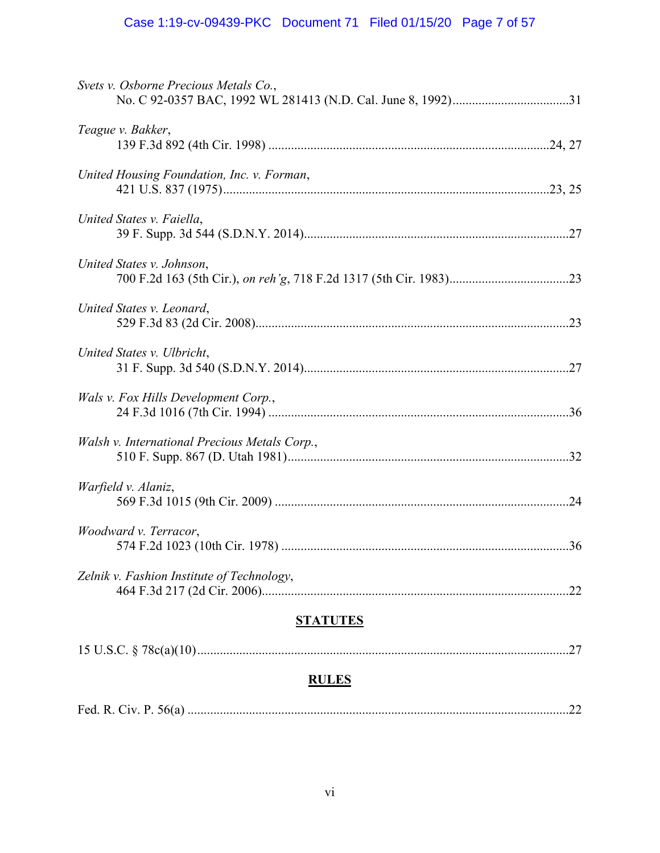## Case 1:19-cv-09439-PKC Document 71 Filed 01/15/20 Page 7 of 57

| Svets v. Osborne Precious Metals Co.,             |
|---------------------------------------------------|
| Teague v. Bakker,                                 |
| United Housing Foundation, Inc. v. Forman,        |
| United States v. Faiella,                         |
| United States v. Johnson,                         |
| United States v. Leonard,                         |
| United States v. Ulbricht,                        |
| Wals v. Fox Hills Development Corp.,              |
| Walsh v. International Precious Metals Corp.,     |
| Warfield v. Alaniz,                               |
| Woodward v. Terracor,                             |
| Zelnik v. Fashion Institute of Technology,<br>.22 |
| <b>STATUTES</b>                                   |
| .27                                               |

# **RULES**

|--|--|--|--|--|--|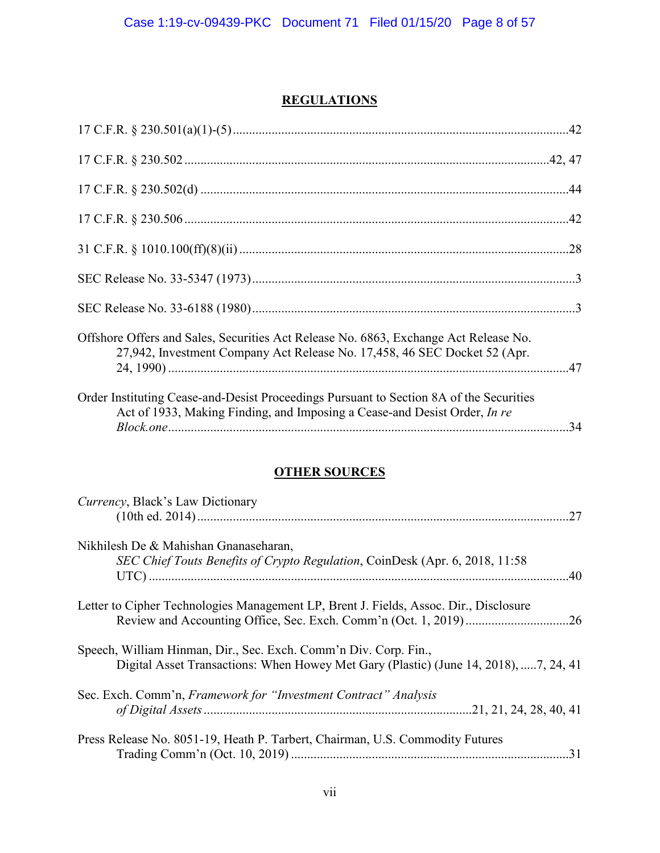## **REGULATIONS**

| Offshore Offers and Sales, Securities Act Release No. 6863, Exchange Act Release No.<br>27,942, Investment Company Act Release No. 17,458, 46 SEC Docket 52 (Apr.    |  |
|----------------------------------------------------------------------------------------------------------------------------------------------------------------------|--|
| Order Instituting Cease-and-Desist Proceedings Pursuant to Section 8A of the Securities<br>Act of 1933, Making Finding, and Imposing a Cease-and Desist Order, In re |  |

## **OTHER SOURCES**

| <i>Currency</i> , Black's Law Dictionary                                              |
|---------------------------------------------------------------------------------------|
|                                                                                       |
|                                                                                       |
| Nikhilesh De & Mahishan Gnanaseharan,                                                 |
| SEC Chief Touts Benefits of Crypto Regulation, CoinDesk (Apr. 6, 2018, 11:58          |
|                                                                                       |
| Letter to Cipher Technologies Management LP, Brent J. Fields, Assoc. Dir., Disclosure |
|                                                                                       |
| Speech, William Hinman, Dir., Sec. Exch. Comm'n Div. Corp. Fin.,                      |
| Digital Asset Transactions: When Howey Met Gary (Plastic) (June 14, 2018), 7, 24, 41  |
| Sec. Exch. Comm'n, Framework for "Investment Contract" Analysis                       |
|                                                                                       |
| Press Release No. 8051-19, Heath P. Tarbert, Chairman, U.S. Commodity Futures         |
|                                                                                       |
|                                                                                       |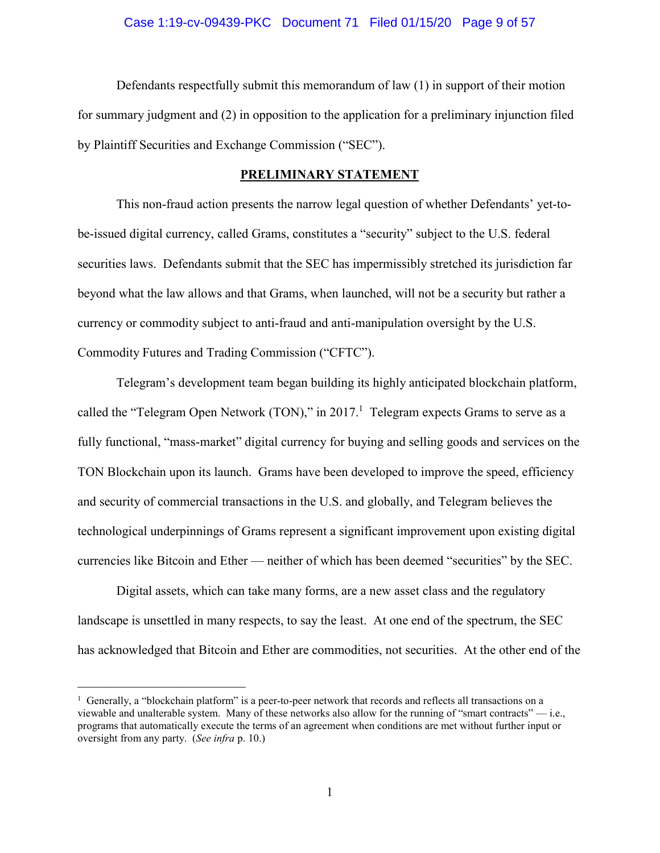### Case 1:19-cv-09439-PKC Document 71 Filed 01/15/20 Page 9 of 57

Defendants respectfully submit this memorandum of law (1) in support of their motion for summary judgment and (2) in opposition to the application for a preliminary injunction filed by Plaintiff Securities and Exchange Commission ("SEC").

### **PRELIMINARY STATEMENT**

This non-fraud action presents the narrow legal question of whether Defendants' yet-tobe-issued digital currency, called Grams, constitutes a "security" subject to the U.S. federal securities laws. Defendants submit that the SEC has impermissibly stretched its jurisdiction far beyond what the law allows and that Grams, when launched, will not be a security but rather a currency or commodity subject to anti-fraud and anti-manipulation oversight by the U.S. Commodity Futures and Trading Commission ("CFTC").

Telegram's development team began building its highly anticipated blockchain platform, called the "Telegram Open Network (TON)," in 2017.<sup>1</sup> Telegram expects Grams to serve as a fully functional, "mass-market" digital currency for buying and selling goods and services on the TON Blockchain upon its launch. Grams have been developed to improve the speed, efficiency and security of commercial transactions in the U.S. and globally, and Telegram believes the technological underpinnings of Grams represent a significant improvement upon existing digital currencies like Bitcoin and Ether — neither of which has been deemed "securities" by the SEC.

Digital assets, which can take many forms, are a new asset class and the regulatory landscape is unsettled in many respects, to say the least. At one end of the spectrum, the SEC has acknowledged that Bitcoin and Ether are commodities, not securities. At the other end of the

<sup>&</sup>lt;sup>1</sup> Generally, a "blockchain platform" is a peer-to-peer network that records and reflects all transactions on a viewable and unalterable system. Many of these networks also allow for the running of "smart contracts" — i.e., programs that automatically execute the terms of an agreement when conditions are met without further input or oversight from any party. (*See infra* p. 10.)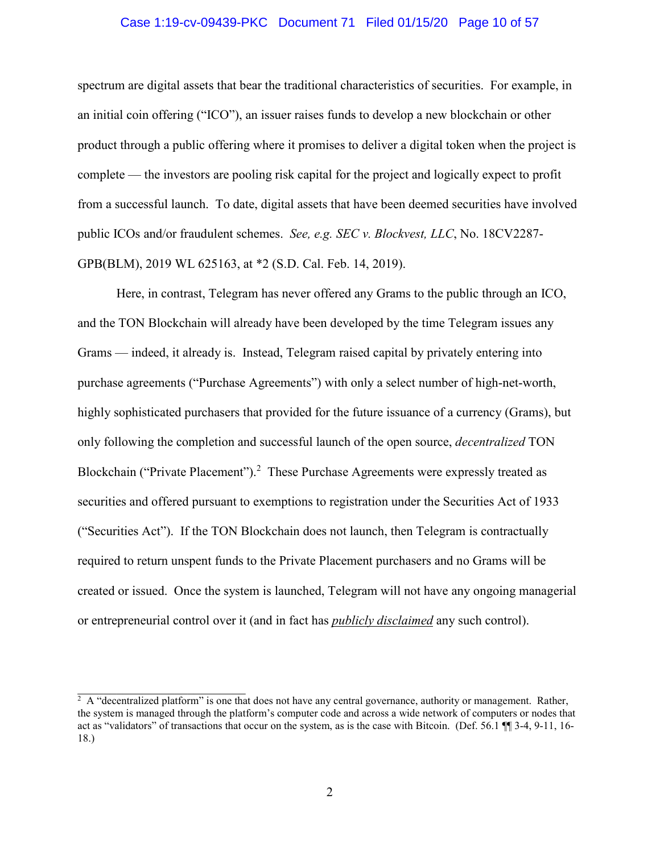### Case 1:19-cv-09439-PKC Document 71 Filed 01/15/20 Page 10 of 57

spectrum are digital assets that bear the traditional characteristics of securities. For example, in an initial coin offering ("ICO"), an issuer raises funds to develop a new blockchain or other product through a public offering where it promises to deliver a digital token when the project is complete — the investors are pooling risk capital for the project and logically expect to profit from a successful launch. To date, digital assets that have been deemed securities have involved public ICOs and/or fraudulent schemes. *See, e.g. SEC v. Blockvest, LLC*, No. 18CV2287- GPB(BLM), 2019 WL 625163, at \*2 (S.D. Cal. Feb. 14, 2019).

Here, in contrast, Telegram has never offered any Grams to the public through an ICO, and the TON Blockchain will already have been developed by the time Telegram issues any Grams — indeed, it already is. Instead, Telegram raised capital by privately entering into purchase agreements ("Purchase Agreements") with only a select number of high-net-worth, highly sophisticated purchasers that provided for the future issuance of a currency (Grams), but only following the completion and successful launch of the open source, *decentralized* TON Blockchain ("Private Placement").<sup>2</sup> These Purchase Agreements were expressly treated as securities and offered pursuant to exemptions to registration under the Securities Act of 1933 ("Securities Act"). If the TON Blockchain does not launch, then Telegram is contractually required to return unspent funds to the Private Placement purchasers and no Grams will be created or issued. Once the system is launched, Telegram will not have any ongoing managerial or entrepreneurial control over it (and in fact has *publicly disclaimed* any such control).

 $2 \text{ A}$  "decentralized platform" is one that does not have any central governance, authority or management. Rather, the system is managed through the platform's computer code and across a wide network of computers or nodes that act as "validators" of transactions that occur on the system, as is the case with Bitcoin. (Def. 56.1 ¶¶ 3-4, 9-11, 16- 18.)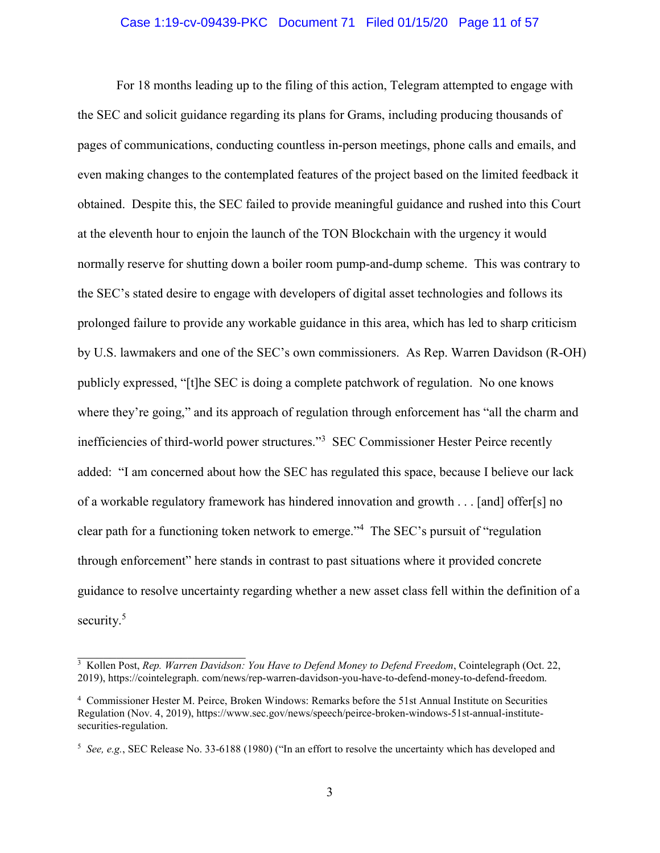#### Case 1:19-cv-09439-PKC Document 71 Filed 01/15/20 Page 11 of 57

For 18 months leading up to the filing of this action, Telegram attempted to engage with the SEC and solicit guidance regarding its plans for Grams, including producing thousands of pages of communications, conducting countless in-person meetings, phone calls and emails, and even making changes to the contemplated features of the project based on the limited feedback it obtained. Despite this, the SEC failed to provide meaningful guidance and rushed into this Court at the eleventh hour to enjoin the launch of the TON Blockchain with the urgency it would normally reserve for shutting down a boiler room pump-and-dump scheme. This was contrary to the SEC's stated desire to engage with developers of digital asset technologies and follows its prolonged failure to provide any workable guidance in this area, which has led to sharp criticism by U.S. lawmakers and one of the SEC's own commissioners. As Rep. Warren Davidson (R-OH) publicly expressed, "[t]he SEC is doing a complete patchwork of regulation. No one knows where they're going," and its approach of regulation through enforcement has "all the charm and inefficiencies of third-world power structures."<sup>3</sup> SEC Commissioner Hester Peirce recently added: "I am concerned about how the SEC has regulated this space, because I believe our lack of a workable regulatory framework has hindered innovation and growth . . . [and] offer[s] no clear path for a functioning token network to emerge."<sup>4</sup> The SEC's pursuit of "regulation through enforcement" here stands in contrast to past situations where it provided concrete guidance to resolve uncertainty regarding whether a new asset class fell within the definition of a security.<sup>5</sup>

<sup>3</sup> Kollen Post, *Rep. Warren Davidson: You Have to Defend Money to Defend Freedom*, Cointelegraph (Oct. 22, 2019), https://cointelegraph. com/news/rep-warren-davidson-you-have-to-defend-money-to-defend-freedom.

<sup>4</sup> Commissioner Hester M. Peirce, Broken Windows: Remarks before the 51st Annual Institute on Securities Regulation (Nov. 4, 2019), https://www.sec.gov/news/speech/peirce-broken-windows-51st-annual-institutesecurities-regulation.

<sup>5</sup> *See, e.g.*, SEC Release No. 33-6188 (1980) ("In an effort to resolve the uncertainty which has developed and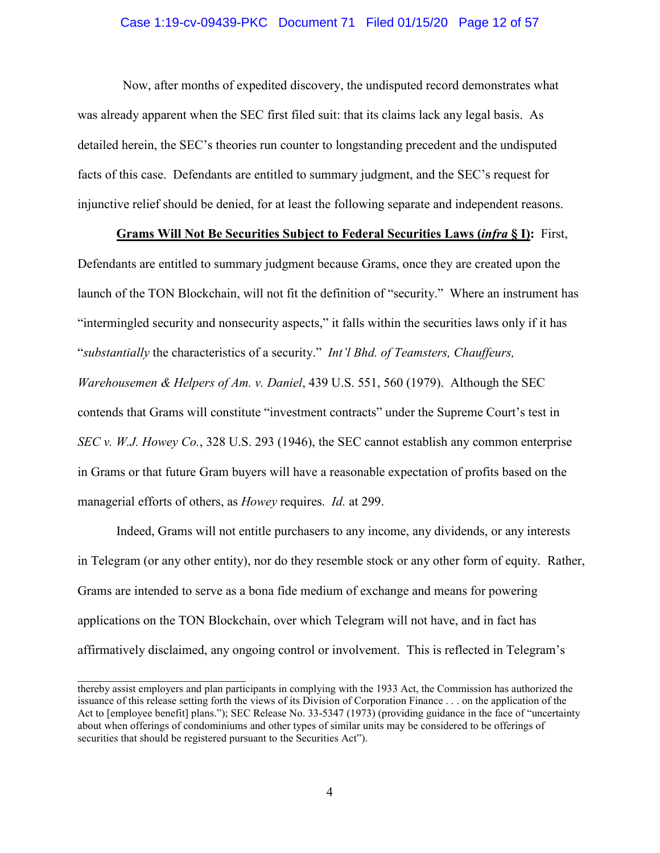### Case 1:19-cv-09439-PKC Document 71 Filed 01/15/20 Page 12 of 57

 Now, after months of expedited discovery, the undisputed record demonstrates what was already apparent when the SEC first filed suit: that its claims lack any legal basis. As detailed herein, the SEC's theories run counter to longstanding precedent and the undisputed facts of this case. Defendants are entitled to summary judgment, and the SEC's request for injunctive relief should be denied, for at least the following separate and independent reasons.

### **Grams Will Not Be Securities Subject to Federal Securities Laws (***infra* **§ I):** First,

Defendants are entitled to summary judgment because Grams, once they are created upon the launch of the TON Blockchain, will not fit the definition of "security." Where an instrument has "intermingled security and nonsecurity aspects," it falls within the securities laws only if it has "*substantially* the characteristics of a security." *Int'l Bhd. of Teamsters, Chauffeurs, Warehousemen & Helpers of Am. v. Daniel*, 439 U.S. 551, 560 (1979). Although the SEC contends that Grams will constitute "investment contracts" under the Supreme Court's test in *SEC v. W.J. Howey Co.*, 328 U.S. 293 (1946), the SEC cannot establish any common enterprise in Grams or that future Gram buyers will have a reasonable expectation of profits based on the managerial efforts of others, as *Howey* requires. *Id.* at 299.

Indeed, Grams will not entitle purchasers to any income, any dividends, or any interests in Telegram (or any other entity), nor do they resemble stock or any other form of equity. Rather, Grams are intended to serve as a bona fide medium of exchange and means for powering applications on the TON Blockchain, over which Telegram will not have, and in fact has affirmatively disclaimed, any ongoing control or involvement. This is reflected in Telegram's

thereby assist employers and plan participants in complying with the 1933 Act, the Commission has authorized the issuance of this release setting forth the views of its Division of Corporation Finance . . . on the application of the Act to [employee benefit] plans."); SEC Release No. 33-5347 (1973) (providing guidance in the face of "uncertainty about when offerings of condominiums and other types of similar units may be considered to be offerings of securities that should be registered pursuant to the Securities Act").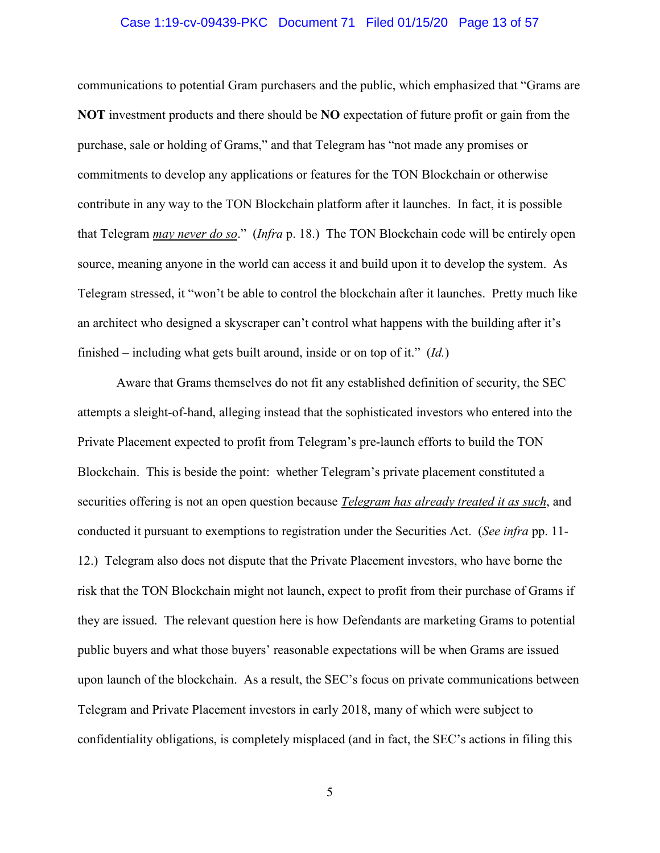#### Case 1:19-cv-09439-PKC Document 71 Filed 01/15/20 Page 13 of 57

communications to potential Gram purchasers and the public, which emphasized that "Grams are **NOT** investment products and there should be **NO** expectation of future profit or gain from the purchase, sale or holding of Grams," and that Telegram has "not made any promises or commitments to develop any applications or features for the TON Blockchain or otherwise contribute in any way to the TON Blockchain platform after it launches. In fact, it is possible that Telegram *may never do so*." (*Infra* p. 18.) The TON Blockchain code will be entirely open source, meaning anyone in the world can access it and build upon it to develop the system. As Telegram stressed, it "won't be able to control the blockchain after it launches. Pretty much like an architect who designed a skyscraper can't control what happens with the building after it's finished – including what gets built around, inside or on top of it." (*Id.*)

Aware that Grams themselves do not fit any established definition of security, the SEC attempts a sleight-of-hand, alleging instead that the sophisticated investors who entered into the Private Placement expected to profit from Telegram's pre-launch efforts to build the TON Blockchain. This is beside the point: whether Telegram's private placement constituted a securities offering is not an open question because *Telegram has already treated it as such*, and conducted it pursuant to exemptions to registration under the Securities Act. (*See infra* pp. 11- 12.) Telegram also does not dispute that the Private Placement investors, who have borne the risk that the TON Blockchain might not launch, expect to profit from their purchase of Grams if they are issued. The relevant question here is how Defendants are marketing Grams to potential public buyers and what those buyers' reasonable expectations will be when Grams are issued upon launch of the blockchain. As a result, the SEC's focus on private communications between Telegram and Private Placement investors in early 2018, many of which were subject to confidentiality obligations, is completely misplaced (and in fact, the SEC's actions in filing this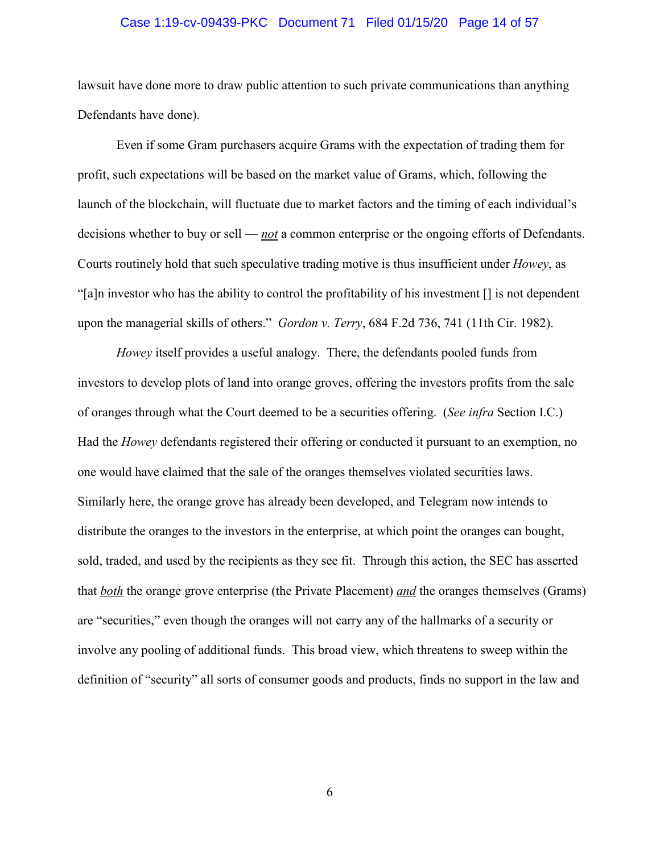### Case 1:19-cv-09439-PKC Document 71 Filed 01/15/20 Page 14 of 57

lawsuit have done more to draw public attention to such private communications than anything Defendants have done).

Even if some Gram purchasers acquire Grams with the expectation of trading them for profit, such expectations will be based on the market value of Grams, which, following the launch of the blockchain, will fluctuate due to market factors and the timing of each individual's decisions whether to buy or sell — *not* a common enterprise or the ongoing efforts of Defendants. Courts routinely hold that such speculative trading motive is thus insufficient under *Howey*, as "[a]n investor who has the ability to control the profitability of his investment [] is not dependent upon the managerial skills of others." *Gordon v. Terry*, 684 F.2d 736, 741 (11th Cir. 1982).

*Howey* itself provides a useful analogy. There, the defendants pooled funds from investors to develop plots of land into orange groves, offering the investors profits from the sale of oranges through what the Court deemed to be a securities offering. (*See infra* Section I.C.) Had the *Howey* defendants registered their offering or conducted it pursuant to an exemption, no one would have claimed that the sale of the oranges themselves violated securities laws. Similarly here, the orange grove has already been developed, and Telegram now intends to distribute the oranges to the investors in the enterprise, at which point the oranges can bought, sold, traded, and used by the recipients as they see fit. Through this action, the SEC has asserted that *both* the orange grove enterprise (the Private Placement) *and* the oranges themselves (Grams) are "securities," even though the oranges will not carry any of the hallmarks of a security or involve any pooling of additional funds. This broad view, which threatens to sweep within the definition of "security" all sorts of consumer goods and products, finds no support in the law and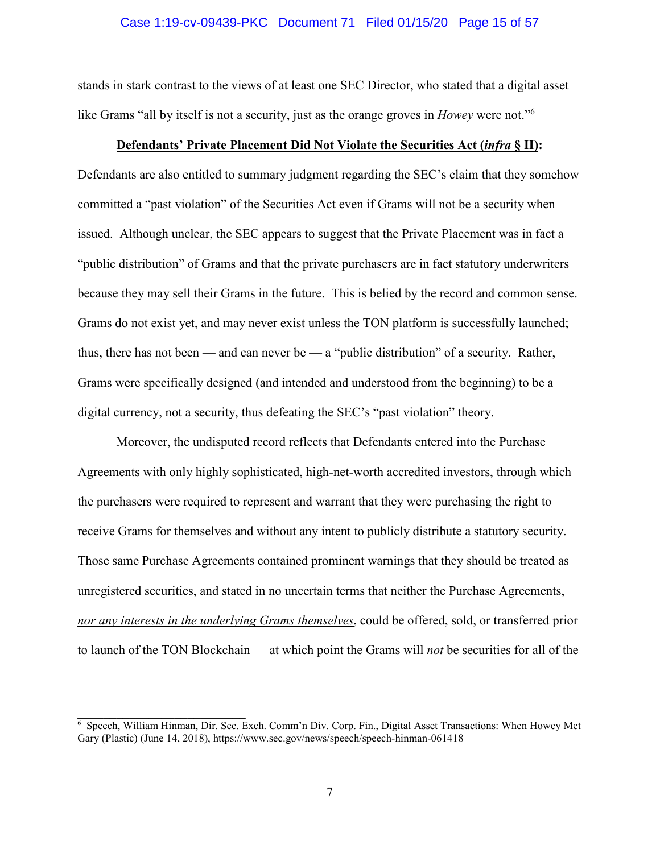### Case 1:19-cv-09439-PKC Document 71 Filed 01/15/20 Page 15 of 57

stands in stark contrast to the views of at least one SEC Director, who stated that a digital asset like Grams "all by itself is not a security, just as the orange groves in *Howey* were not."<sup>6</sup>

### **Defendants' Private Placement Did Not Violate the Securities Act (***infra* **§ II):**

Defendants are also entitled to summary judgment regarding the SEC's claim that they somehow committed a "past violation" of the Securities Act even if Grams will not be a security when issued. Although unclear, the SEC appears to suggest that the Private Placement was in fact a "public distribution" of Grams and that the private purchasers are in fact statutory underwriters because they may sell their Grams in the future. This is belied by the record and common sense. Grams do not exist yet, and may never exist unless the TON platform is successfully launched; thus, there has not been — and can never be — a "public distribution" of a security. Rather, Grams were specifically designed (and intended and understood from the beginning) to be a digital currency, not a security, thus defeating the SEC's "past violation" theory.

Moreover, the undisputed record reflects that Defendants entered into the Purchase Agreements with only highly sophisticated, high-net-worth accredited investors, through which the purchasers were required to represent and warrant that they were purchasing the right to receive Grams for themselves and without any intent to publicly distribute a statutory security. Those same Purchase Agreements contained prominent warnings that they should be treated as unregistered securities, and stated in no uncertain terms that neither the Purchase Agreements, *nor any interests in the underlying Grams themselves*, could be offered, sold, or transferred prior to launch of the TON Blockchain — at which point the Grams will *not* be securities for all of the

<sup>6</sup> Speech, William Hinman, Dir. Sec. Exch. Comm'n Div. Corp. Fin., Digital Asset Transactions: When Howey Met Gary (Plastic) (June 14, 2018), https://www.sec.gov/news/speech/speech-hinman-061418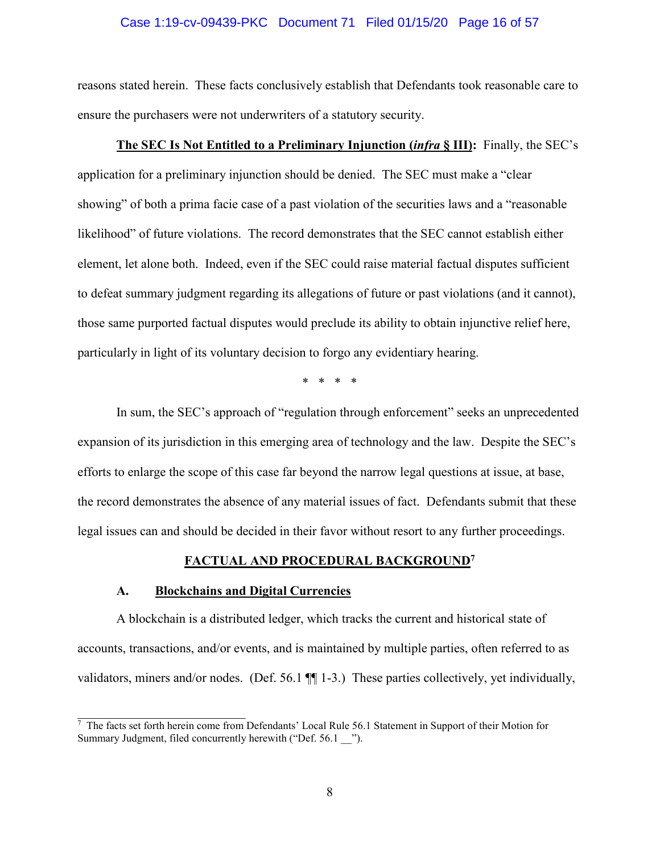### Case 1:19-cv-09439-PKC Document 71 Filed 01/15/20 Page 16 of 57

reasons stated herein. These facts conclusively establish that Defendants took reasonable care to ensure the purchasers were not underwriters of a statutory security.

### **The SEC Is Not Entitled to a Preliminary Injunction (***infra* **§ III):** Finally, the SEC's

application for a preliminary injunction should be denied. The SEC must make a "clear showing" of both a prima facie case of a past violation of the securities laws and a "reasonable likelihood" of future violations. The record demonstrates that the SEC cannot establish either element, let alone both. Indeed, even if the SEC could raise material factual disputes sufficient to defeat summary judgment regarding its allegations of future or past violations (and it cannot), those same purported factual disputes would preclude its ability to obtain injunctive relief here, particularly in light of its voluntary decision to forgo any evidentiary hearing.

\* \* \* \*

In sum, the SEC's approach of "regulation through enforcement" seeks an unprecedented expansion of its jurisdiction in this emerging area of technology and the law. Despite the SEC's efforts to enlarge the scope of this case far beyond the narrow legal questions at issue, at base, the record demonstrates the absence of any material issues of fact. Defendants submit that these legal issues can and should be decided in their favor without resort to any further proceedings.

#### **FACTUAL AND PROCEDURAL BACKGROUND<sup>7</sup>**

### **A. Blockchains and Digital Currencies**

A blockchain is a distributed ledger, which tracks the current and historical state of accounts, transactions, and/or events, and is maintained by multiple parties, often referred to as validators, miners and/or nodes. (Def. 56.1 ¶¶ 1-3.) These parties collectively, yet individually,

<sup>&</sup>lt;sup>7</sup> The facts set forth herein come from Defendants' Local Rule 56.1 Statement in Support of their Motion for Summary Judgment, filed concurrently herewith ("Def. 56.1  $\ldots$  ").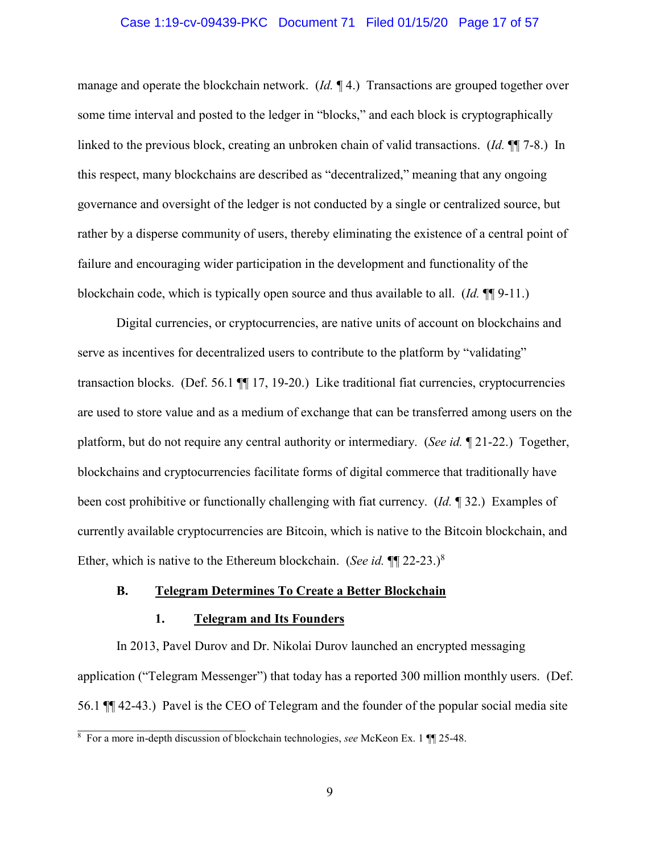### Case 1:19-cv-09439-PKC Document 71 Filed 01/15/20 Page 17 of 57

manage and operate the blockchain network. (*Id.* ¶ 4.) Transactions are grouped together over some time interval and posted to the ledger in "blocks," and each block is cryptographically linked to the previous block, creating an unbroken chain of valid transactions. (*Id.* ¶¶ 7-8.) In this respect, many blockchains are described as "decentralized," meaning that any ongoing governance and oversight of the ledger is not conducted by a single or centralized source, but rather by a disperse community of users, thereby eliminating the existence of a central point of failure and encouraging wider participation in the development and functionality of the blockchain code, which is typically open source and thus available to all. (*Id.* ¶¶ 9-11.)

Digital currencies, or cryptocurrencies, are native units of account on blockchains and serve as incentives for decentralized users to contribute to the platform by "validating" transaction blocks. (Def. 56.1 ¶¶ 17, 19-20.) Like traditional fiat currencies, cryptocurrencies are used to store value and as a medium of exchange that can be transferred among users on the platform, but do not require any central authority or intermediary. (*See id.* ¶ 21-22.) Together, blockchains and cryptocurrencies facilitate forms of digital commerce that traditionally have been cost prohibitive or functionally challenging with fiat currency. (*Id.* ¶ 32.) Examples of currently available cryptocurrencies are Bitcoin, which is native to the Bitcoin blockchain, and Ether, which is native to the Ethereum blockchain. (*See id.* ¶¶ 22-23.)<sup>8</sup>

### **B. Telegram Determines To Create a Better Blockchain**

### **1. Telegram and Its Founders**

In 2013, Pavel Durov and Dr. Nikolai Durov launched an encrypted messaging application ("Telegram Messenger") that today has a reported 300 million monthly users. (Def. 56.1 ¶¶ 42-43.) Pavel is the CEO of Telegram and the founder of the popular social media site

<sup>&</sup>lt;sup>8</sup> For a more in-depth discussion of blockchain technologies, *see* McKeon Ex. 1 ¶¶ 25-48.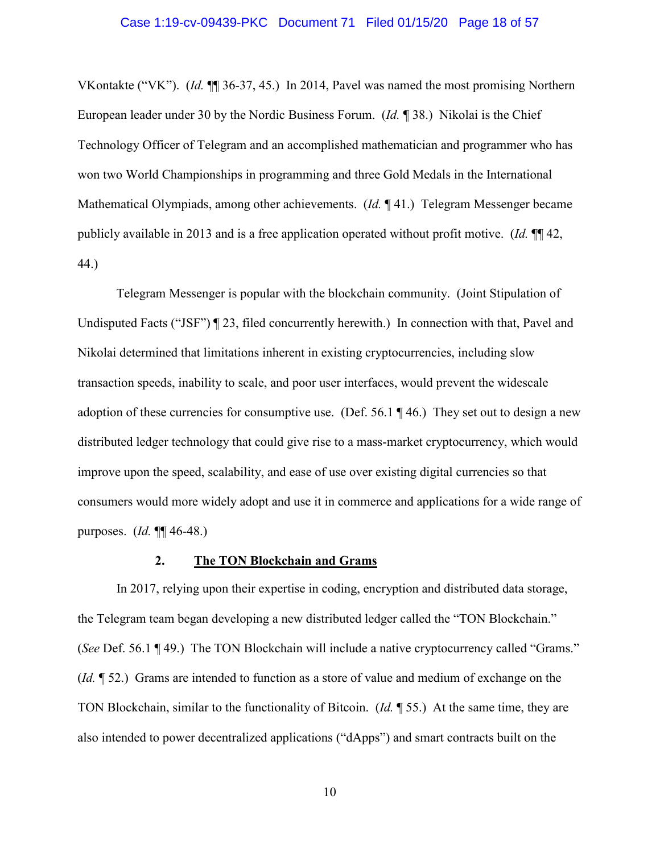VKontakte ("VK"). (*Id.* ¶¶ 36-37, 45.) In 2014, Pavel was named the most promising Northern European leader under 30 by the Nordic Business Forum. (*Id.* ¶ 38.) Nikolai is the Chief Technology Officer of Telegram and an accomplished mathematician and programmer who has won two World Championships in programming and three Gold Medals in the International Mathematical Olympiads, among other achievements. (*Id.* ¶ 41.) Telegram Messenger became publicly available in 2013 and is a free application operated without profit motive. (*Id.* ¶¶ 42, 44.)

Telegram Messenger is popular with the blockchain community. (Joint Stipulation of Undisputed Facts ("JSF") ¶ 23, filed concurrently herewith.) In connection with that, Pavel and Nikolai determined that limitations inherent in existing cryptocurrencies, including slow transaction speeds, inability to scale, and poor user interfaces, would prevent the widescale adoption of these currencies for consumptive use. (Def.  $56.1 \text{ T}$  46.) They set out to design a new distributed ledger technology that could give rise to a mass-market cryptocurrency, which would improve upon the speed, scalability, and ease of use over existing digital currencies so that consumers would more widely adopt and use it in commerce and applications for a wide range of purposes. (*Id.* ¶¶ 46-48.)

#### **2. The TON Blockchain and Grams**

In 2017, relying upon their expertise in coding, encryption and distributed data storage, the Telegram team began developing a new distributed ledger called the "TON Blockchain." (*See* Def. 56.1 ¶ 49.) The TON Blockchain will include a native cryptocurrency called "Grams." (*Id.* ¶ 52.) Grams are intended to function as a store of value and medium of exchange on the TON Blockchain, similar to the functionality of Bitcoin. (*Id.* ¶ 55.) At the same time, they are also intended to power decentralized applications ("dApps") and smart contracts built on the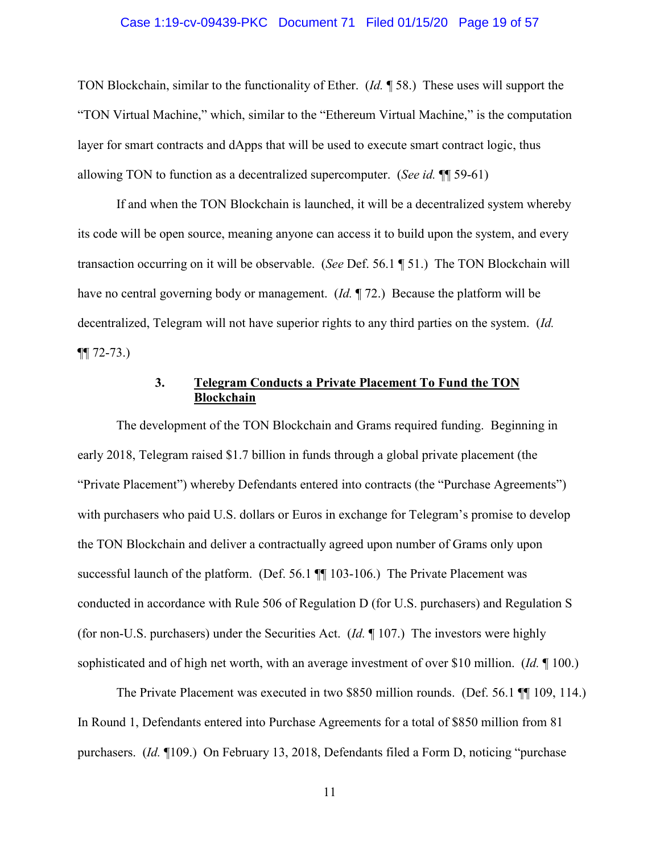### Case 1:19-cv-09439-PKC Document 71 Filed 01/15/20 Page 19 of 57

TON Blockchain, similar to the functionality of Ether. (*Id.* ¶ 58.) These uses will support the "TON Virtual Machine," which, similar to the "Ethereum Virtual Machine," is the computation layer for smart contracts and dApps that will be used to execute smart contract logic, thus allowing TON to function as a decentralized supercomputer. (*See id.* ¶¶ 59-61)

If and when the TON Blockchain is launched, it will be a decentralized system whereby its code will be open source, meaning anyone can access it to build upon the system, and every transaction occurring on it will be observable. (*See* Def. 56.1 ¶ 51.) The TON Blockchain will have no central governing body or management. (*Id.* ¶ 72.) Because the platform will be decentralized, Telegram will not have superior rights to any third parties on the system. (*Id.*  $\P\P$  72-73.)

### **3. Telegram Conducts a Private Placement To Fund the TON Blockchain**

The development of the TON Blockchain and Grams required funding. Beginning in early 2018, Telegram raised \$1.7 billion in funds through a global private placement (the "Private Placement") whereby Defendants entered into contracts (the "Purchase Agreements") with purchasers who paid U.S. dollars or Euros in exchange for Telegram's promise to develop the TON Blockchain and deliver a contractually agreed upon number of Grams only upon successful launch of the platform. (Def. 56.1  $\P$  103-106.) The Private Placement was conducted in accordance with Rule 506 of Regulation D (for U.S. purchasers) and Regulation S (for non-U.S. purchasers) under the Securities Act. (*Id.* ¶ 107.) The investors were highly sophisticated and of high net worth, with an average investment of over \$10 million. (*Id.* ¶ 100.)

The Private Placement was executed in two \$850 million rounds. (Def. 56.1 ¶¶ 109, 114.) In Round 1, Defendants entered into Purchase Agreements for a total of \$850 million from 81 purchasers. (*Id.* ¶109.) On February 13, 2018, Defendants filed a Form D, noticing "purchase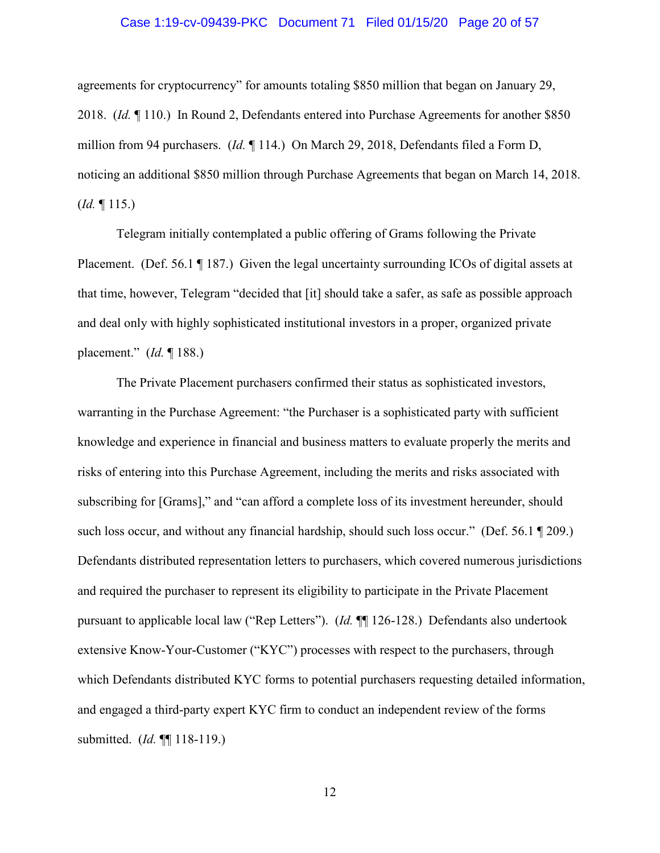### Case 1:19-cv-09439-PKC Document 71 Filed 01/15/20 Page 20 of 57

agreements for cryptocurrency" for amounts totaling \$850 million that began on January 29, 2018. (*Id.* ¶ 110.) In Round 2, Defendants entered into Purchase Agreements for another \$850 million from 94 purchasers. (*Id.* ¶ 114.) On March 29, 2018, Defendants filed a Form D, noticing an additional \$850 million through Purchase Agreements that began on March 14, 2018. (*Id.* ¶ 115.)

Telegram initially contemplated a public offering of Grams following the Private Placement. (Def. 56.1 ¶ 187.) Given the legal uncertainty surrounding ICOs of digital assets at that time, however, Telegram "decided that [it] should take a safer, as safe as possible approach and deal only with highly sophisticated institutional investors in a proper, organized private placement." (*Id.* ¶ 188.)

The Private Placement purchasers confirmed their status as sophisticated investors, warranting in the Purchase Agreement: "the Purchaser is a sophisticated party with sufficient knowledge and experience in financial and business matters to evaluate properly the merits and risks of entering into this Purchase Agreement, including the merits and risks associated with subscribing for [Grams]," and "can afford a complete loss of its investment hereunder, should such loss occur, and without any financial hardship, should such loss occur." (Def. 56.1 ¶ 209.) Defendants distributed representation letters to purchasers, which covered numerous jurisdictions and required the purchaser to represent its eligibility to participate in the Private Placement pursuant to applicable local law ("Rep Letters"). (*Id.* ¶¶ 126-128.) Defendants also undertook extensive Know-Your-Customer ("KYC") processes with respect to the purchasers, through which Defendants distributed KYC forms to potential purchasers requesting detailed information, and engaged a third-party expert KYC firm to conduct an independent review of the forms submitted. (*Id.* ¶¶ 118-119.)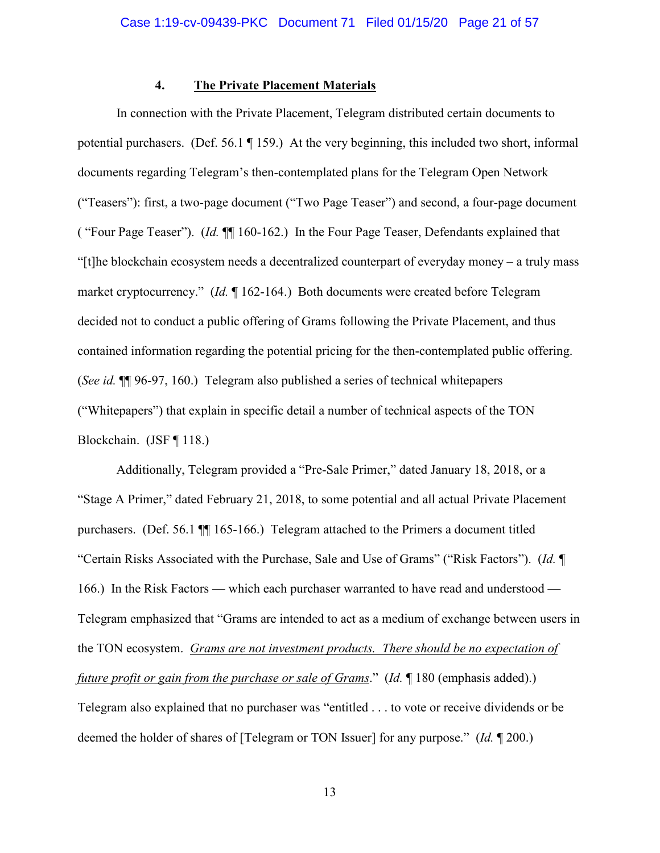### **4. The Private Placement Materials**

In connection with the Private Placement, Telegram distributed certain documents to potential purchasers. (Def. 56.1 ¶ 159.) At the very beginning, this included two short, informal documents regarding Telegram's then-contemplated plans for the Telegram Open Network ("Teasers"): first, a two-page document ("Two Page Teaser") and second, a four-page document ( "Four Page Teaser"). (*Id.* ¶¶ 160-162.) In the Four Page Teaser, Defendants explained that "[t]he blockchain ecosystem needs a decentralized counterpart of everyday money – a truly mass market cryptocurrency." (*Id.* ¶ 162-164.) Both documents were created before Telegram decided not to conduct a public offering of Grams following the Private Placement, and thus contained information regarding the potential pricing for the then-contemplated public offering. (*See id.* ¶¶ 96-97, 160.) Telegram also published a series of technical whitepapers ("Whitepapers") that explain in specific detail a number of technical aspects of the TON Blockchain. (JSF ¶ 118.)

Additionally, Telegram provided a "Pre-Sale Primer," dated January 18, 2018, or a "Stage A Primer," dated February 21, 2018, to some potential and all actual Private Placement purchasers. (Def. 56.1 ¶¶ 165-166.) Telegram attached to the Primers a document titled "Certain Risks Associated with the Purchase, Sale and Use of Grams" ("Risk Factors"). (*Id.* ¶ 166.) In the Risk Factors — which each purchaser warranted to have read and understood — Telegram emphasized that "Grams are intended to act as a medium of exchange between users in the TON ecosystem. *Grams are not investment products. There should be no expectation of future profit or gain from the purchase or sale of Grams*." (*Id.* ¶ 180 (emphasis added).) Telegram also explained that no purchaser was "entitled . . . to vote or receive dividends or be deemed the holder of shares of [Telegram or TON Issuer] for any purpose." (*Id.* ¶ 200.)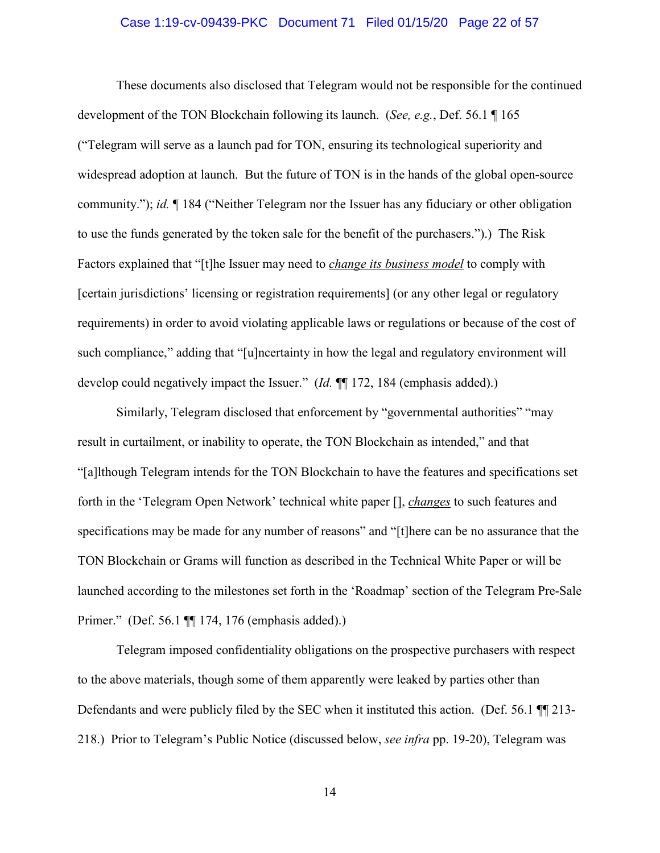### Case 1:19-cv-09439-PKC Document 71 Filed 01/15/20 Page 22 of 57

These documents also disclosed that Telegram would not be responsible for the continued development of the TON Blockchain following its launch. (*See, e.g.*, Def. 56.1 ¶ 165 ("Telegram will serve as a launch pad for TON, ensuring its technological superiority and widespread adoption at launch. But the future of TON is in the hands of the global open-source community."); *id.* ¶ 184 ("Neither Telegram nor the Issuer has any fiduciary or other obligation to use the funds generated by the token sale for the benefit of the purchasers.").) The Risk Factors explained that "[t]he Issuer may need to *change its business model* to comply with [certain jurisdictions' licensing or registration requirements] (or any other legal or regulatory requirements) in order to avoid violating applicable laws or regulations or because of the cost of such compliance," adding that "[u]ncertainty in how the legal and regulatory environment will develop could negatively impact the Issuer." (*Id.*  $\P$  172, 184 (emphasis added).)

Similarly, Telegram disclosed that enforcement by "governmental authorities" "may result in curtailment, or inability to operate, the TON Blockchain as intended," and that "[a]lthough Telegram intends for the TON Blockchain to have the features and specifications set forth in the 'Telegram Open Network' technical white paper [], *changes* to such features and specifications may be made for any number of reasons" and "[t]here can be no assurance that the TON Blockchain or Grams will function as described in the Technical White Paper or will be launched according to the milestones set forth in the 'Roadmap' section of the Telegram Pre-Sale Primer." (Def. 56.1 ¶¶ 174, 176 (emphasis added).)

Telegram imposed confidentiality obligations on the prospective purchasers with respect to the above materials, though some of them apparently were leaked by parties other than Defendants and were publicly filed by the SEC when it instituted this action. (Def. 56.1 ¶¶ 213- 218.) Prior to Telegram's Public Notice (discussed below, *see infra* pp. 19-20), Telegram was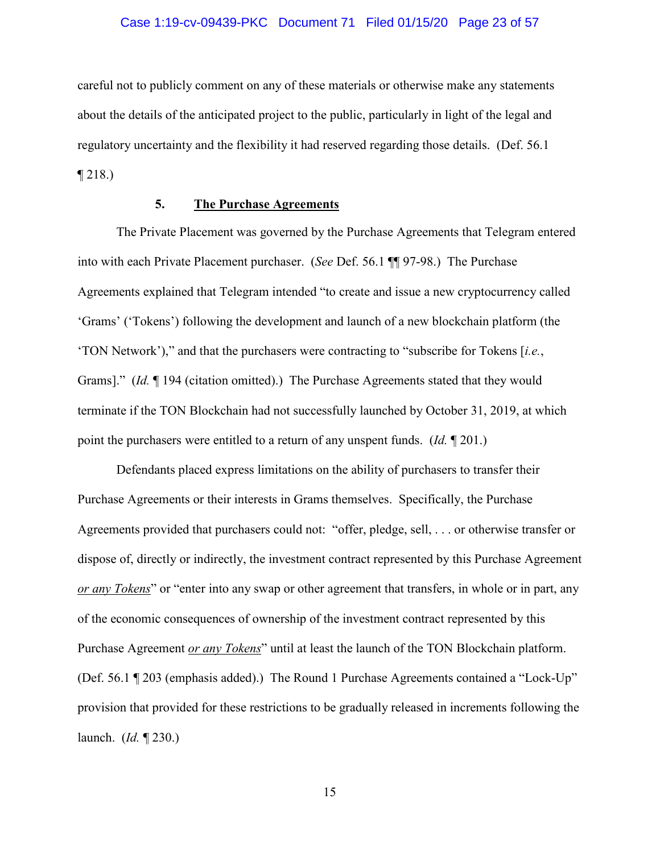### Case 1:19-cv-09439-PKC Document 71 Filed 01/15/20 Page 23 of 57

careful not to publicly comment on any of these materials or otherwise make any statements about the details of the anticipated project to the public, particularly in light of the legal and regulatory uncertainty and the flexibility it had reserved regarding those details. (Def. 56.1 ¶ 218.)

### **5. The Purchase Agreements**

The Private Placement was governed by the Purchase Agreements that Telegram entered into with each Private Placement purchaser. (*See* Def. 56.1 ¶¶ 97-98.) The Purchase Agreements explained that Telegram intended "to create and issue a new cryptocurrency called 'Grams' ('Tokens') following the development and launch of a new blockchain platform (the 'TON Network')," and that the purchasers were contracting to "subscribe for Tokens [*i.e.*, Grams]." (*Id.* ¶ 194 (citation omitted).) The Purchase Agreements stated that they would terminate if the TON Blockchain had not successfully launched by October 31, 2019, at which point the purchasers were entitled to a return of any unspent funds. (*Id.* ¶ 201.)

Defendants placed express limitations on the ability of purchasers to transfer their Purchase Agreements or their interests in Grams themselves. Specifically, the Purchase Agreements provided that purchasers could not: "offer, pledge, sell, . . . or otherwise transfer or dispose of, directly or indirectly, the investment contract represented by this Purchase Agreement *or any Tokens*" or "enter into any swap or other agreement that transfers, in whole or in part, any of the economic consequences of ownership of the investment contract represented by this Purchase Agreement *or any Tokens*" until at least the launch of the TON Blockchain platform. (Def. 56.1 ¶ 203 (emphasis added).) The Round 1 Purchase Agreements contained a "Lock-Up" provision that provided for these restrictions to be gradually released in increments following the launch. (*Id.* ¶ 230.)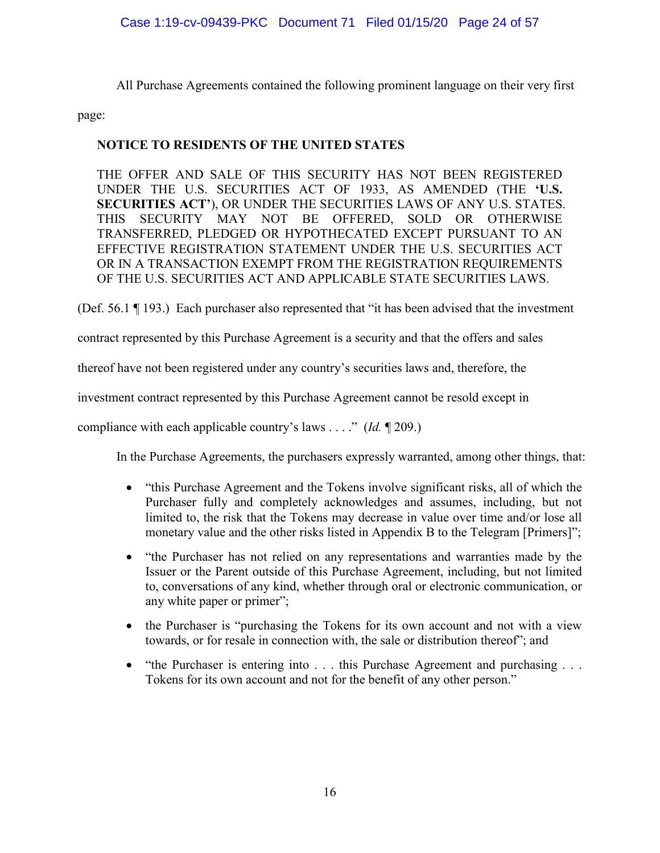All Purchase Agreements contained the following prominent language on their very first

page:

### **NOTICE TO RESIDENTS OF THE UNITED STATES**

THE OFFER AND SALE OF THIS SECURITY HAS NOT BEEN REGISTERED UNDER THE U.S. SECURITIES ACT OF 1933, AS AMENDED (THE **'U.S. SECURITIES ACT'**), OR UNDER THE SECURITIES LAWS OF ANY U.S. STATES. THIS SECURITY MAY NOT BE OFFERED, SOLD OR OTHERWISE TRANSFERRED, PLEDGED OR HYPOTHECATED EXCEPT PURSUANT TO AN EFFECTIVE REGISTRATION STATEMENT UNDER THE U.S. SECURITIES ACT OR IN A TRANSACTION EXEMPT FROM THE REGISTRATION REQUIREMENTS OF THE U.S. SECURITIES ACT AND APPLICABLE STATE SECURITIES LAWS.

(Def. 56.1 ¶ 193.) Each purchaser also represented that "it has been advised that the investment

contract represented by this Purchase Agreement is a security and that the offers and sales

thereof have not been registered under any country's securities laws and, therefore, the

investment contract represented by this Purchase Agreement cannot be resold except in

compliance with each applicable country's laws . . . ." (*Id.* ¶ 209.)

In the Purchase Agreements, the purchasers expressly warranted, among other things, that:

- "this Purchase Agreement and the Tokens involve significant risks, all of which the Purchaser fully and completely acknowledges and assumes, including, but not limited to, the risk that the Tokens may decrease in value over time and/or lose all monetary value and the other risks listed in Appendix B to the Telegram [Primers]";
- "the Purchaser has not relied on any representations and warranties made by the Issuer or the Parent outside of this Purchase Agreement, including, but not limited to, conversations of any kind, whether through oral or electronic communication, or any white paper or primer";
- the Purchaser is "purchasing the Tokens for its own account and not with a view towards, or for resale in connection with, the sale or distribution thereof"; and
- "the Purchaser is entering into . . . this Purchase Agreement and purchasing . . . Tokens for its own account and not for the benefit of any other person."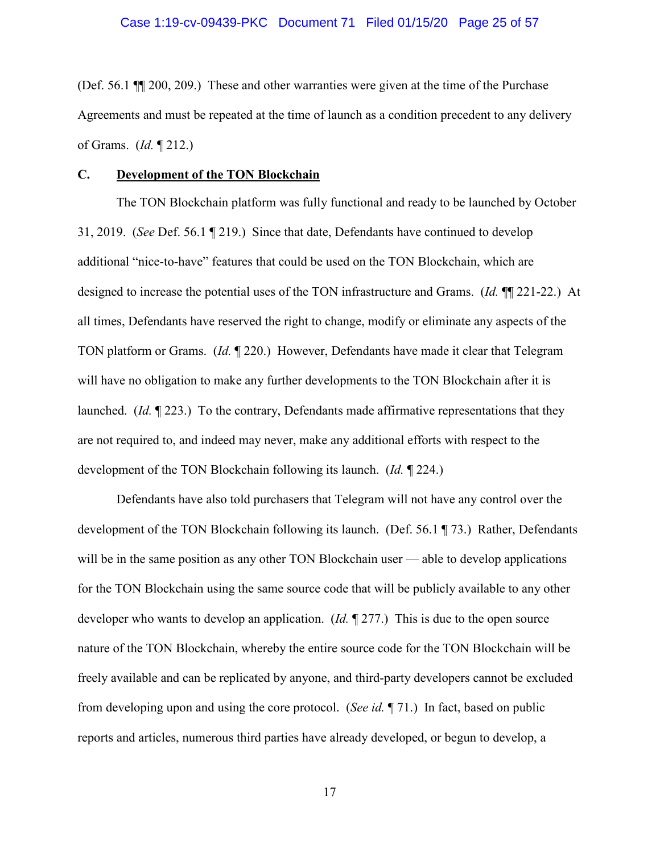(Def. 56.1 ¶¶ 200, 209.) These and other warranties were given at the time of the Purchase Agreements and must be repeated at the time of launch as a condition precedent to any delivery of Grams. (*Id.* ¶ 212.)

#### **C. Development of the TON Blockchain**

The TON Blockchain platform was fully functional and ready to be launched by October 31, 2019. (*See* Def. 56.1 ¶ 219.) Since that date, Defendants have continued to develop additional "nice-to-have" features that could be used on the TON Blockchain, which are designed to increase the potential uses of the TON infrastructure and Grams. (*Id.* ¶¶ 221-22.) At all times, Defendants have reserved the right to change, modify or eliminate any aspects of the TON platform or Grams. (*Id.* ¶ 220.) However, Defendants have made it clear that Telegram will have no obligation to make any further developments to the TON Blockchain after it is launched. (*Id.* ¶ 223.) To the contrary, Defendants made affirmative representations that they are not required to, and indeed may never, make any additional efforts with respect to the development of the TON Blockchain following its launch. (*Id.* ¶ 224.)

Defendants have also told purchasers that Telegram will not have any control over the development of the TON Blockchain following its launch. (Def. 56.1 ¶ 73.) Rather, Defendants will be in the same position as any other TON Blockchain user — able to develop applications for the TON Blockchain using the same source code that will be publicly available to any other developer who wants to develop an application. (*Id.* ¶ 277.) This is due to the open source nature of the TON Blockchain, whereby the entire source code for the TON Blockchain will be freely available and can be replicated by anyone, and third-party developers cannot be excluded from developing upon and using the core protocol. (*See id.* ¶ 71.) In fact, based on public reports and articles, numerous third parties have already developed, or begun to develop, a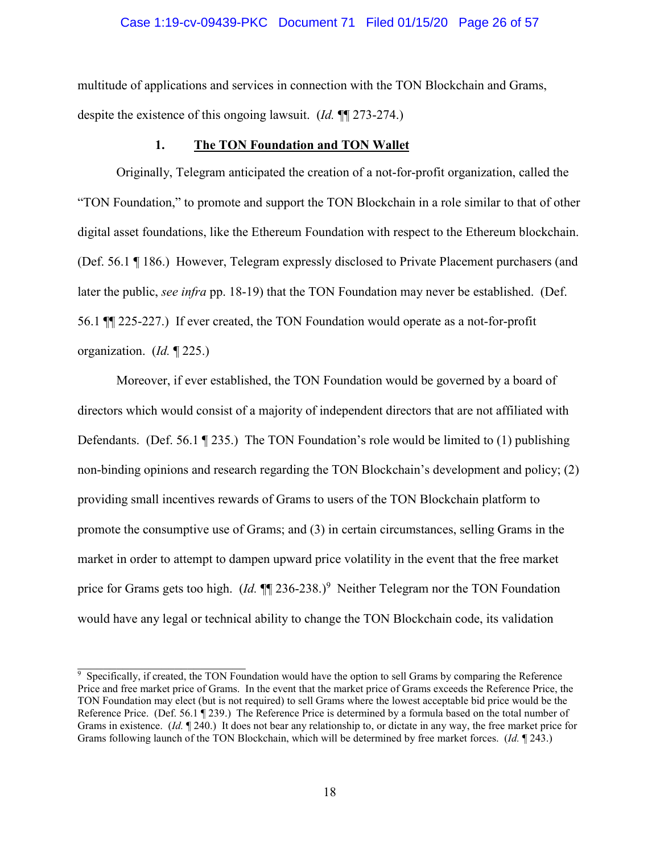#### Case 1:19-cv-09439-PKC Document 71 Filed 01/15/20 Page 26 of 57

multitude of applications and services in connection with the TON Blockchain and Grams, despite the existence of this ongoing lawsuit. (*Id.* ¶¶ 273-274.)

### **1. The TON Foundation and TON Wallet**

Originally, Telegram anticipated the creation of a not-for-profit organization, called the "TON Foundation," to promote and support the TON Blockchain in a role similar to that of other digital asset foundations, like the Ethereum Foundation with respect to the Ethereum blockchain. (Def. 56.1 ¶ 186.) However, Telegram expressly disclosed to Private Placement purchasers (and later the public, *see infra* pp. 18-19) that the TON Foundation may never be established. (Def. 56.1 ¶¶ 225-227.) If ever created, the TON Foundation would operate as a not-for-profit organization. (*Id.* ¶ 225.)

Moreover, if ever established, the TON Foundation would be governed by a board of directors which would consist of a majority of independent directors that are not affiliated with Defendants. (Def. 56.1  $\P$  235.) The TON Foundation's role would be limited to (1) publishing non-binding opinions and research regarding the TON Blockchain's development and policy; (2) providing small incentives rewards of Grams to users of the TON Blockchain platform to promote the consumptive use of Grams; and (3) in certain circumstances, selling Grams in the market in order to attempt to dampen upward price volatility in the event that the free market price for Grams gets too high. (*Id.*  $\P$ ] 236-238.)<sup>9</sup> Neither Telegram nor the TON Foundation would have any legal or technical ability to change the TON Blockchain code, its validation

<sup>9</sup> Specifically, if created, the TON Foundation would have the option to sell Grams by comparing the Reference Price and free market price of Grams. In the event that the market price of Grams exceeds the Reference Price, the TON Foundation may elect (but is not required) to sell Grams where the lowest acceptable bid price would be the Reference Price. (Def. 56.1 ¶ 239.) The Reference Price is determined by a formula based on the total number of Grams in existence. (*Id.* ¶ 240.) It does not bear any relationship to, or dictate in any way, the free market price for Grams following launch of the TON Blockchain, which will be determined by free market forces. (*Id.* ¶ 243.)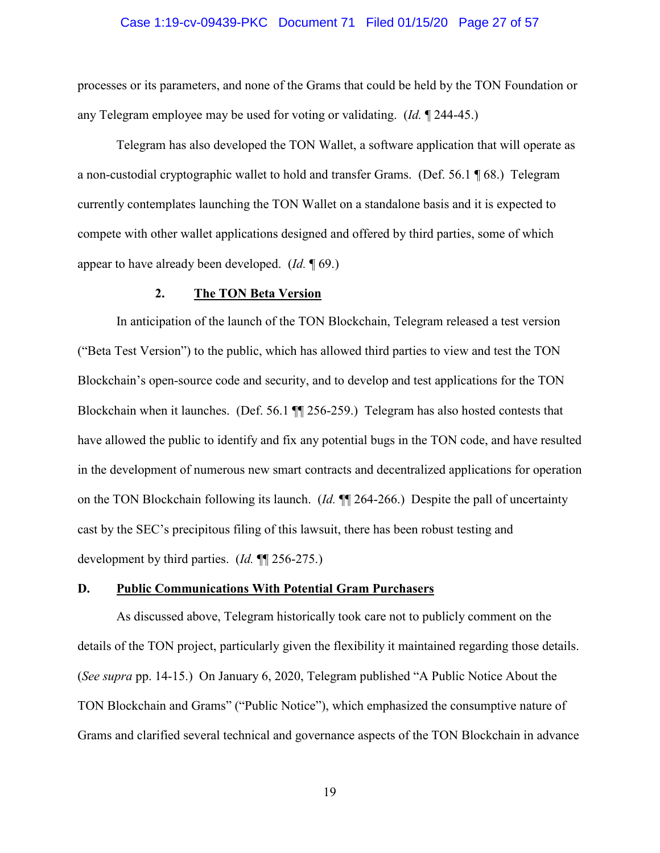### Case 1:19-cv-09439-PKC Document 71 Filed 01/15/20 Page 27 of 57

processes or its parameters, and none of the Grams that could be held by the TON Foundation or any Telegram employee may be used for voting or validating. (*Id.* ¶ 244-45.)

Telegram has also developed the TON Wallet, a software application that will operate as a non-custodial cryptographic wallet to hold and transfer Grams. (Def. 56.1 ¶ 68.) Telegram currently contemplates launching the TON Wallet on a standalone basis and it is expected to compete with other wallet applications designed and offered by third parties, some of which appear to have already been developed. (*Id.* ¶ 69.)

### **2. The TON Beta Version**

In anticipation of the launch of the TON Blockchain, Telegram released a test version ("Beta Test Version") to the public, which has allowed third parties to view and test the TON Blockchain's open-source code and security, and to develop and test applications for the TON Blockchain when it launches. (Def. 56.1 ¶¶ 256-259.) Telegram has also hosted contests that have allowed the public to identify and fix any potential bugs in the TON code, and have resulted in the development of numerous new smart contracts and decentralized applications for operation on the TON Blockchain following its launch. (*Id.* ¶¶ 264-266.) Despite the pall of uncertainty cast by the SEC's precipitous filing of this lawsuit, there has been robust testing and development by third parties. (*Id.* ¶¶ 256-275.)

### **D. Public Communications With Potential Gram Purchasers**

As discussed above, Telegram historically took care not to publicly comment on the details of the TON project, particularly given the flexibility it maintained regarding those details. (*See supra* pp. 14-15.) On January 6, 2020, Telegram published "A Public Notice About the TON Blockchain and Grams" ("Public Notice"), which emphasized the consumptive nature of Grams and clarified several technical and governance aspects of the TON Blockchain in advance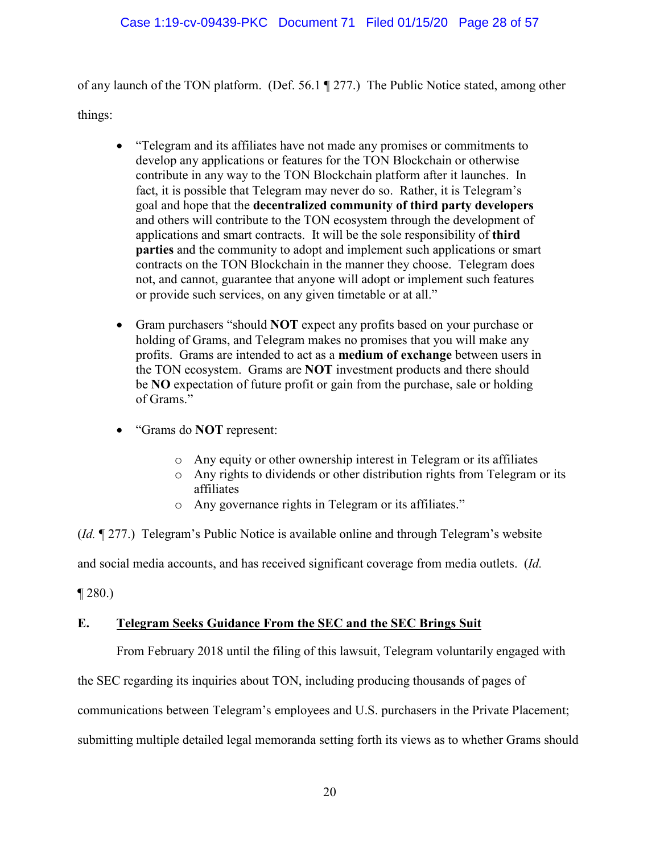of any launch of the TON platform. (Def. 56.1 ¶ 277.) The Public Notice stated, among other things:

- "Telegram and its affiliates have not made any promises or commitments to develop any applications or features for the TON Blockchain or otherwise contribute in any way to the TON Blockchain platform after it launches. In fact, it is possible that Telegram may never do so. Rather, it is Telegram's goal and hope that the **decentralized community of third party developers** and others will contribute to the TON ecosystem through the development of applications and smart contracts. It will be the sole responsibility of **third parties** and the community to adopt and implement such applications or smart contracts on the TON Blockchain in the manner they choose. Telegram does not, and cannot, guarantee that anyone will adopt or implement such features or provide such services, on any given timetable or at all."
- Gram purchasers "should **NOT** expect any profits based on your purchase or holding of Grams, and Telegram makes no promises that you will make any profits. Grams are intended to act as a **medium of exchange** between users in the TON ecosystem. Grams are **NOT** investment products and there should be **NO** expectation of future profit or gain from the purchase, sale or holding of Grams."
- "Grams do **NOT** represent:
	- o Any equity or other ownership interest in Telegram or its affiliates
	- o Any rights to dividends or other distribution rights from Telegram or its affiliates
	- o Any governance rights in Telegram or its affiliates."

(*Id.* ¶ 277.) Telegram's Public Notice is available online and through Telegram's website and social media accounts, and has received significant coverage from media outlets. (*Id.*

 $\P$  280.)

### **E. Telegram Seeks Guidance From the SEC and the SEC Brings Suit**

From February 2018 until the filing of this lawsuit, Telegram voluntarily engaged with

the SEC regarding its inquiries about TON, including producing thousands of pages of

communications between Telegram's employees and U.S. purchasers in the Private Placement;

submitting multiple detailed legal memoranda setting forth its views as to whether Grams should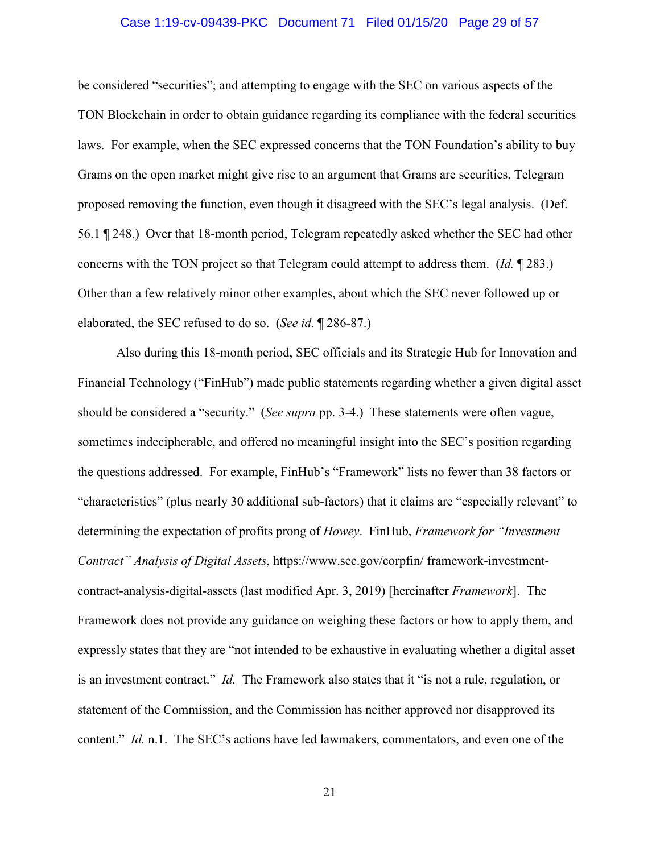### Case 1:19-cv-09439-PKC Document 71 Filed 01/15/20 Page 29 of 57

be considered "securities"; and attempting to engage with the SEC on various aspects of the TON Blockchain in order to obtain guidance regarding its compliance with the federal securities laws. For example, when the SEC expressed concerns that the TON Foundation's ability to buy Grams on the open market might give rise to an argument that Grams are securities, Telegram proposed removing the function, even though it disagreed with the SEC's legal analysis. (Def. 56.1 ¶ 248.) Over that 18-month period, Telegram repeatedly asked whether the SEC had other concerns with the TON project so that Telegram could attempt to address them. (*Id.* ¶ 283.) Other than a few relatively minor other examples, about which the SEC never followed up or elaborated, the SEC refused to do so. (*See id.* ¶ 286-87.)

Also during this 18-month period, SEC officials and its Strategic Hub for Innovation and Financial Technology ("FinHub") made public statements regarding whether a given digital asset should be considered a "security." (*See supra* pp. 3-4.) These statements were often vague, sometimes indecipherable, and offered no meaningful insight into the SEC's position regarding the questions addressed. For example, FinHub's "Framework" lists no fewer than 38 factors or "characteristics" (plus nearly 30 additional sub-factors) that it claims are "especially relevant" to determining the expectation of profits prong of *Howey*. FinHub, *Framework for "Investment Contract" Analysis of Digital Assets*, https://www.sec.gov/corpfin/ framework-investmentcontract-analysis-digital-assets (last modified Apr. 3, 2019) [hereinafter *Framework*]. The Framework does not provide any guidance on weighing these factors or how to apply them, and expressly states that they are "not intended to be exhaustive in evaluating whether a digital asset is an investment contract." *Id.* The Framework also states that it "is not a rule, regulation, or statement of the Commission, and the Commission has neither approved nor disapproved its content." *Id.* n.1. The SEC's actions have led lawmakers, commentators, and even one of the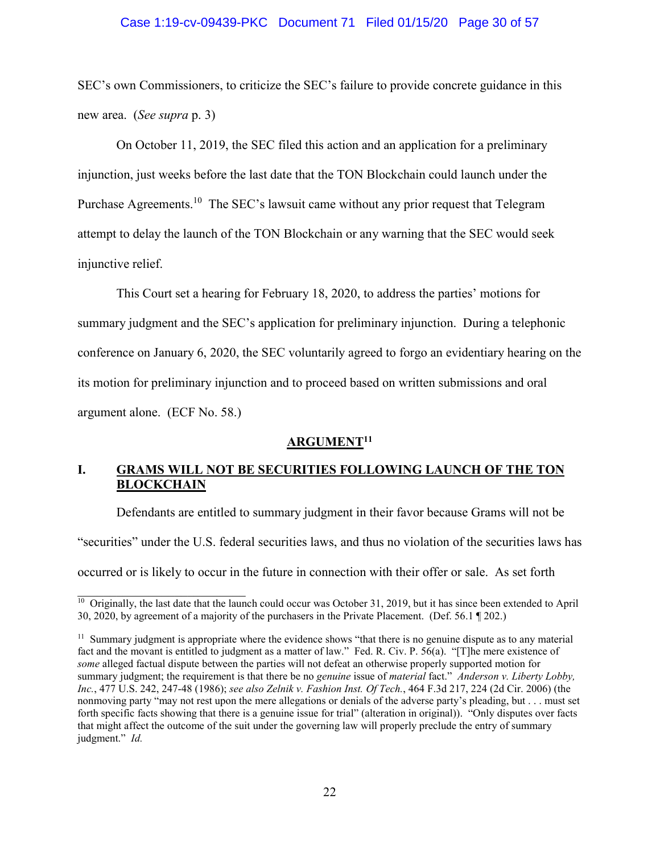### Case 1:19-cv-09439-PKC Document 71 Filed 01/15/20 Page 30 of 57

SEC's own Commissioners, to criticize the SEC's failure to provide concrete guidance in this new area. (*See supra* p. 3)

On October 11, 2019, the SEC filed this action and an application for a preliminary injunction, just weeks before the last date that the TON Blockchain could launch under the Purchase Agreements.<sup>10</sup> The SEC's lawsuit came without any prior request that Telegram attempt to delay the launch of the TON Blockchain or any warning that the SEC would seek injunctive relief.

This Court set a hearing for February 18, 2020, to address the parties' motions for summary judgment and the SEC's application for preliminary injunction. During a telephonic conference on January 6, 2020, the SEC voluntarily agreed to forgo an evidentiary hearing on the its motion for preliminary injunction and to proceed based on written submissions and oral argument alone. (ECF No. 58.)

### **ARGUMENT<sup>11</sup>**

### **I. GRAMS WILL NOT BE SECURITIES FOLLOWING LAUNCH OF THE TON BLOCKCHAIN**

Defendants are entitled to summary judgment in their favor because Grams will not be "securities" under the U.S. federal securities laws, and thus no violation of the securities laws has occurred or is likely to occur in the future in connection with their offer or sale. As set forth

<sup>&</sup>lt;sup>10</sup> Originally, the last date that the launch could occur was October 31, 2019, but it has since been extended to April 30, 2020, by agreement of a majority of the purchasers in the Private Placement. (Def. 56.1 ¶ 202.)

<sup>&</sup>lt;sup>11</sup> Summary judgment is appropriate where the evidence shows "that there is no genuine dispute as to any material fact and the movant is entitled to judgment as a matter of law." Fed. R. Civ. P. 56(a). "[T]he mere existence of *some* alleged factual dispute between the parties will not defeat an otherwise properly supported motion for summary judgment; the requirement is that there be no *genuine* issue of *material* fact." *Anderson v. Liberty Lobby, Inc.*, 477 U.S. 242, 247-48 (1986); *see also Zelnik v. Fashion Inst. Of Tech.*, 464 F.3d 217, 224 (2d Cir. 2006) (the nonmoving party "may not rest upon the mere allegations or denials of the adverse party's pleading, but . . . must set forth specific facts showing that there is a genuine issue for trial" (alteration in original)). "Only disputes over facts that might affect the outcome of the suit under the governing law will properly preclude the entry of summary judgment." *Id.*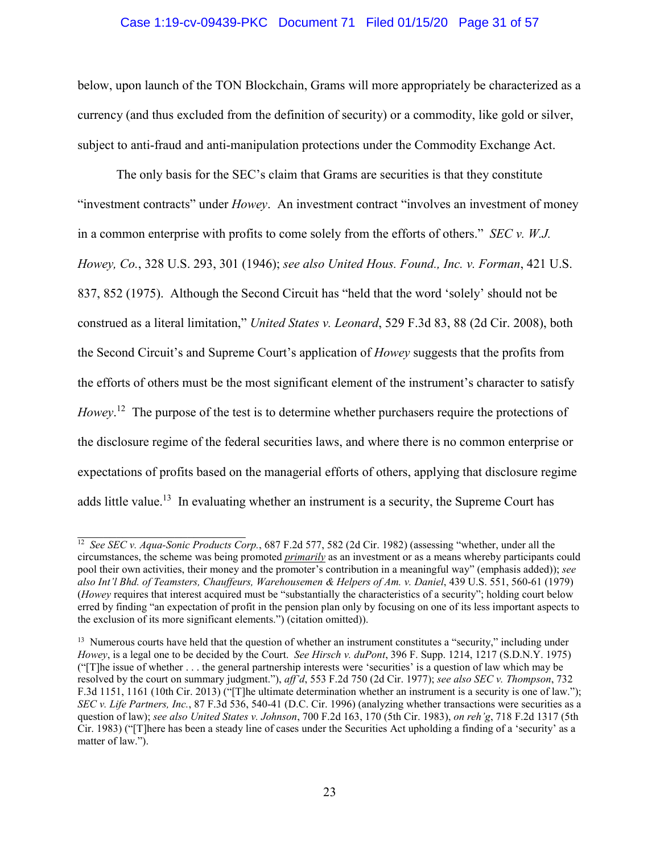### Case 1:19-cv-09439-PKC Document 71 Filed 01/15/20 Page 31 of 57

below, upon launch of the TON Blockchain, Grams will more appropriately be characterized as a currency (and thus excluded from the definition of security) or a commodity, like gold or silver, subject to anti-fraud and anti-manipulation protections under the Commodity Exchange Act.

The only basis for the SEC's claim that Grams are securities is that they constitute "investment contracts" under *Howey*. An investment contract "involves an investment of money in a common enterprise with profits to come solely from the efforts of others." *SEC v. W.J. Howey, Co.*, 328 U.S. 293, 301 (1946); *see also United Hous. Found., Inc. v. Forman*, 421 U.S. 837, 852 (1975). Although the Second Circuit has "held that the word 'solely' should not be construed as a literal limitation," *United States v. Leonard*, 529 F.3d 83, 88 (2d Cir. 2008), both the Second Circuit's and Supreme Court's application of *Howey* suggests that the profits from the efforts of others must be the most significant element of the instrument's character to satisfy *Howey*. <sup>12</sup> The purpose of the test is to determine whether purchasers require the protections of the disclosure regime of the federal securities laws, and where there is no common enterprise or expectations of profits based on the managerial efforts of others, applying that disclosure regime adds little value.<sup>13</sup> In evaluating whether an instrument is a security, the Supreme Court has

<sup>&</sup>lt;sup>12</sup> *See SEC v. Aqua-Sonic Products Corp.*, 687 F.2d 577, 582 (2d Cir. 1982) (assessing "whether, under all the circumstances, the scheme was being promoted *primarily* as an investment or as a means whereby participants could pool their own activities, their money and the promoter's contribution in a meaningful way" (emphasis added)); *see also Int'l Bhd. of Teamsters, Chauffeurs, Warehousemen & Helpers of Am. v. Daniel*, 439 U.S. 551, 560-61 (1979) (*Howey* requires that interest acquired must be "substantially the characteristics of a security"; holding court below erred by finding "an expectation of profit in the pension plan only by focusing on one of its less important aspects to the exclusion of its more significant elements.") (citation omitted)).

<sup>&</sup>lt;sup>13</sup> Numerous courts have held that the question of whether an instrument constitutes a "security," including under *Howey*, is a legal one to be decided by the Court. *See Hirsch v. duPont*, 396 F. Supp. 1214, 1217 (S.D.N.Y. 1975) ("[T]he issue of whether . . . the general partnership interests were 'securities' is a question of law which may be resolved by the court on summary judgment."), *aff'd*, 553 F.2d 750 (2d Cir. 1977); *see also SEC v. Thompson*, 732 F.3d 1151, 1161 (10th Cir. 2013) ("[T]he ultimate determination whether an instrument is a security is one of law."); *SEC v. Life Partners, Inc.*, 87 F.3d 536, 540-41 (D.C. Cir. 1996) (analyzing whether transactions were securities as a question of law); *see also United States v. Johnson*, 700 F.2d 163, 170 (5th Cir. 1983), *on reh'g*, 718 F.2d 1317 (5th Cir. 1983) ("[T]here has been a steady line of cases under the Securities Act upholding a finding of a 'security' as a matter of law.").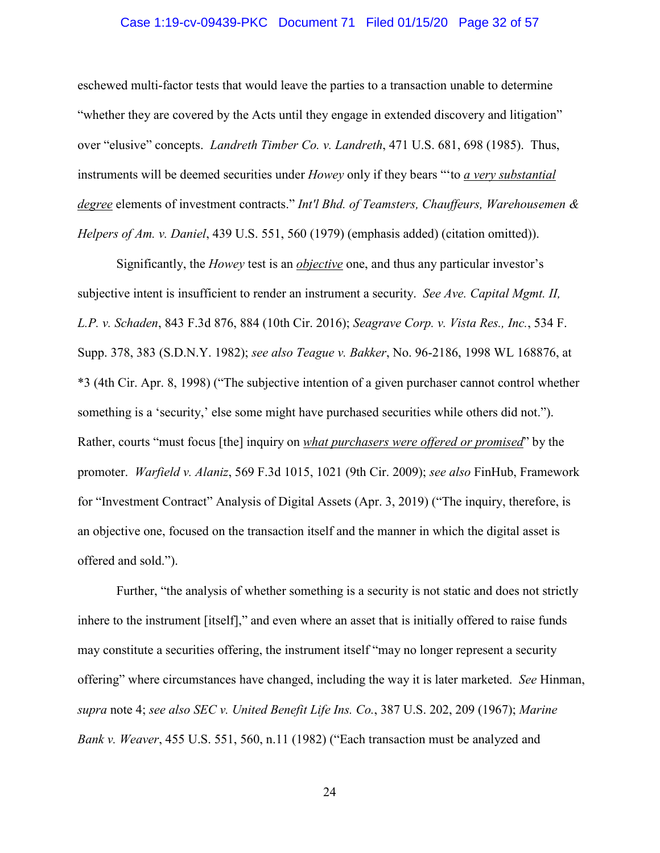### Case 1:19-cv-09439-PKC Document 71 Filed 01/15/20 Page 32 of 57

eschewed multi-factor tests that would leave the parties to a transaction unable to determine "whether they are covered by the Acts until they engage in extended discovery and litigation" over "elusive" concepts. *Landreth Timber Co. v. Landreth*, 471 U.S. 681, 698 (1985). Thus, instruments will be deemed securities under *Howey* only if they bears "'to *a very substantial degree* elements of investment contracts." *Int'l Bhd. of Teamsters, Chauffeurs, Warehousemen & Helpers of Am. v. Daniel*, 439 U.S. 551, 560 (1979) (emphasis added) (citation omitted)).

Significantly, the *Howey* test is an *objective* one, and thus any particular investor's subjective intent is insufficient to render an instrument a security. *See Ave. Capital Mgmt. II, L.P. v. Schaden*, 843 F.3d 876, 884 (10th Cir. 2016); *Seagrave Corp. v. Vista Res., Inc.*, 534 F. Supp. 378, 383 (S.D.N.Y. 1982); *see also Teague v. Bakker*, No. 96-2186, 1998 WL 168876, at \*3 (4th Cir. Apr. 8, 1998) ("The subjective intention of a given purchaser cannot control whether something is a 'security,' else some might have purchased securities while others did not."). Rather, courts "must focus [the] inquiry on *what purchasers were offered or promised*" by the promoter. *Warfield v. Alaniz*, 569 F.3d 1015, 1021 (9th Cir. 2009); *see also* FinHub, Framework for "Investment Contract" Analysis of Digital Assets (Apr. 3, 2019) ("The inquiry, therefore, is an objective one, focused on the transaction itself and the manner in which the digital asset is offered and sold.").

Further, "the analysis of whether something is a security is not static and does not strictly inhere to the instrument [itself]," and even where an asset that is initially offered to raise funds may constitute a securities offering, the instrument itself "may no longer represent a security offering" where circumstances have changed, including the way it is later marketed. *See* Hinman, *supra* note 4; *see also SEC v. United Benefit Life Ins. Co.*, 387 U.S. 202, 209 (1967); *Marine Bank v. Weaver*, 455 U.S. 551, 560, n.11 (1982) ("Each transaction must be analyzed and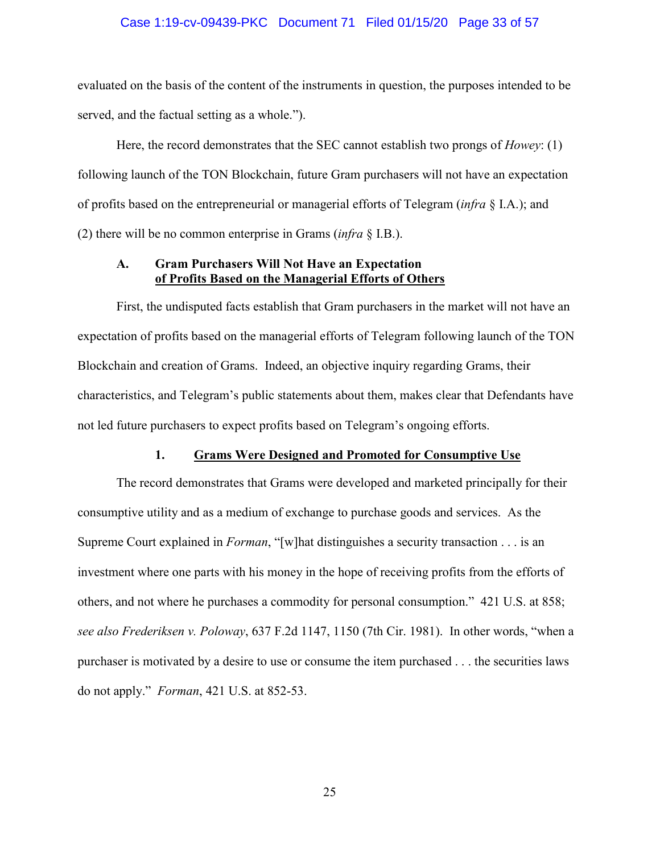### Case 1:19-cv-09439-PKC Document 71 Filed 01/15/20 Page 33 of 57

evaluated on the basis of the content of the instruments in question, the purposes intended to be served, and the factual setting as a whole.").

Here, the record demonstrates that the SEC cannot establish two prongs of *Howey*: (1) following launch of the TON Blockchain, future Gram purchasers will not have an expectation of profits based on the entrepreneurial or managerial efforts of Telegram (*infra* § I.A.); and (2) there will be no common enterprise in Grams (*infra* § I.B.).

### **A. Gram Purchasers Will Not Have an Expectation of Profits Based on the Managerial Efforts of Others**

First, the undisputed facts establish that Gram purchasers in the market will not have an expectation of profits based on the managerial efforts of Telegram following launch of the TON Blockchain and creation of Grams. Indeed, an objective inquiry regarding Grams, their characteristics, and Telegram's public statements about them, makes clear that Defendants have not led future purchasers to expect profits based on Telegram's ongoing efforts.

#### **1. Grams Were Designed and Promoted for Consumptive Use**

The record demonstrates that Grams were developed and marketed principally for their consumptive utility and as a medium of exchange to purchase goods and services. As the Supreme Court explained in *Forman*, "[w]hat distinguishes a security transaction . . . is an investment where one parts with his money in the hope of receiving profits from the efforts of others, and not where he purchases a commodity for personal consumption." 421 U.S. at 858; *see also Frederiksen v. Poloway*, 637 F.2d 1147, 1150 (7th Cir. 1981). In other words, "when a purchaser is motivated by a desire to use or consume the item purchased . . . the securities laws do not apply." *Forman*, 421 U.S. at 852-53.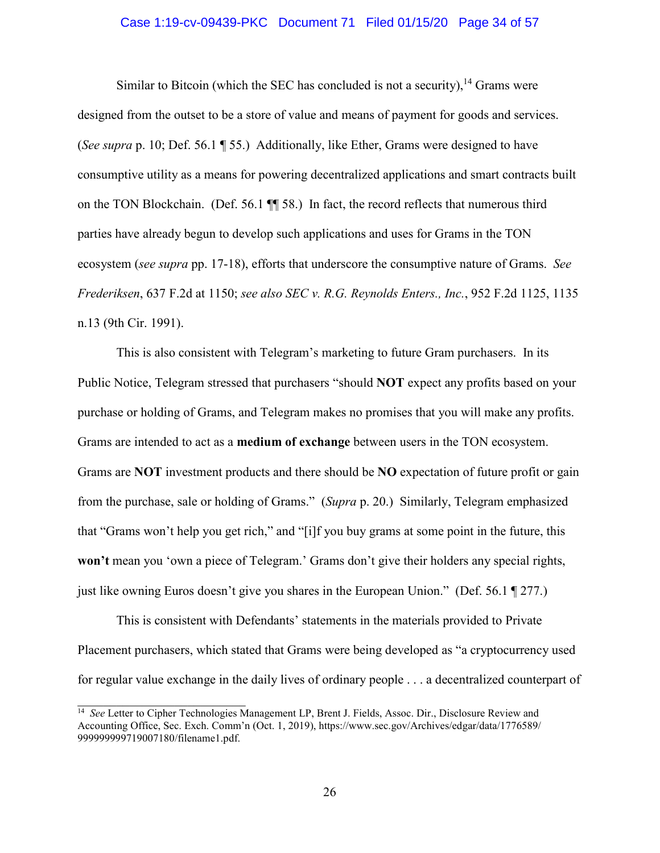### Case 1:19-cv-09439-PKC Document 71 Filed 01/15/20 Page 34 of 57

Similar to Bitcoin (which the SEC has concluded is not a security),  $14$  Grams were designed from the outset to be a store of value and means of payment for goods and services. (*See supra* p. 10; Def. 56.1 ¶ 55.) Additionally, like Ether, Grams were designed to have consumptive utility as a means for powering decentralized applications and smart contracts built on the TON Blockchain. (Def. 56.1 ¶¶ 58.) In fact, the record reflects that numerous third parties have already begun to develop such applications and uses for Grams in the TON ecosystem (*see supra* pp. 17-18), efforts that underscore the consumptive nature of Grams. *See Frederiksen*, 637 F.2d at 1150; *see also SEC v. R.G. Reynolds Enters., Inc.*, 952 F.2d 1125, 1135 n.13 (9th Cir. 1991).

This is also consistent with Telegram's marketing to future Gram purchasers. In its Public Notice, Telegram stressed that purchasers "should **NOT** expect any profits based on your purchase or holding of Grams, and Telegram makes no promises that you will make any profits. Grams are intended to act as a **medium of exchange** between users in the TON ecosystem. Grams are **NOT** investment products and there should be **NO** expectation of future profit or gain from the purchase, sale or holding of Grams." (*Supra* p. 20.) Similarly, Telegram emphasized that "Grams won't help you get rich," and "[i]f you buy grams at some point in the future, this **won't** mean you 'own a piece of Telegram.' Grams don't give their holders any special rights, just like owning Euros doesn't give you shares in the European Union." (Def. 56.1 ¶ 277.)

This is consistent with Defendants' statements in the materials provided to Private Placement purchasers, which stated that Grams were being developed as "a cryptocurrency used for regular value exchange in the daily lives of ordinary people . . . a decentralized counterpart of

<sup>14</sup> *See* Letter to Cipher Technologies Management LP, Brent J. Fields, Assoc. Dir., Disclosure Review and Accounting Office, Sec. Exch. Comm'n (Oct. 1, 2019), https://www.sec.gov/Archives/edgar/data/1776589/ 999999999719007180/filename1.pdf.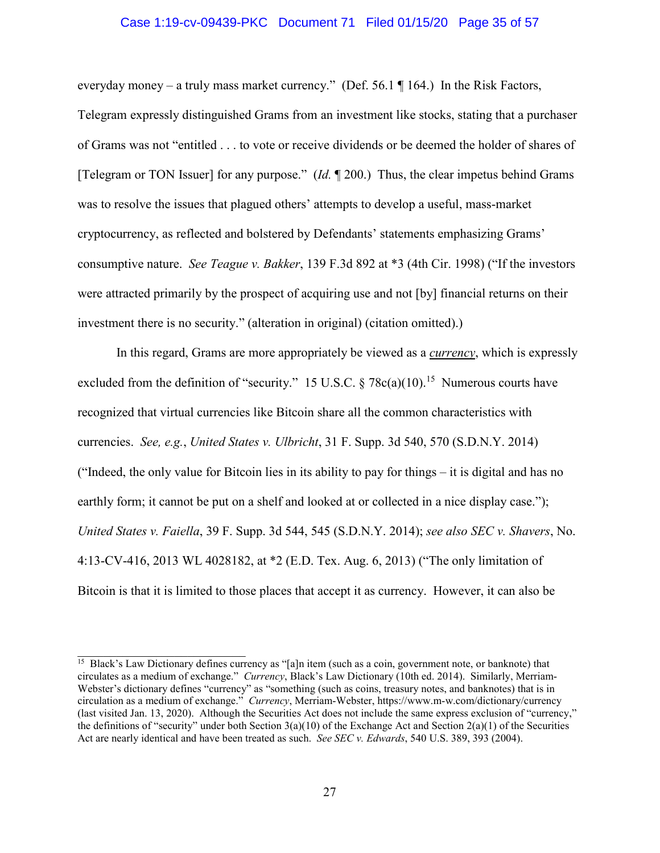#### Case 1:19-cv-09439-PKC Document 71 Filed 01/15/20 Page 35 of 57

everyday money – a truly mass market currency." (Def. 56.1  $\P$  164.) In the Risk Factors, Telegram expressly distinguished Grams from an investment like stocks, stating that a purchaser of Grams was not "entitled . . . to vote or receive dividends or be deemed the holder of shares of [Telegram or TON Issuer] for any purpose." (*Id.* ¶ 200.) Thus, the clear impetus behind Grams was to resolve the issues that plagued others' attempts to develop a useful, mass-market cryptocurrency, as reflected and bolstered by Defendants' statements emphasizing Grams' consumptive nature. *See Teague v. Bakker*, 139 F.3d 892 at \*3 (4th Cir. 1998) ("If the investors were attracted primarily by the prospect of acquiring use and not [by] financial returns on their investment there is no security." (alteration in original) (citation omitted).)

In this regard, Grams are more appropriately be viewed as a *currency*, which is expressly excluded from the definition of "security." 15 U.S.C.  $\S 78c(a)(10)$ .<sup>15</sup> Numerous courts have recognized that virtual currencies like Bitcoin share all the common characteristics with currencies. *See, e.g.*, *United States v. Ulbricht*, 31 F. Supp. 3d 540, 570 (S.D.N.Y. 2014) ("Indeed, the only value for Bitcoin lies in its ability to pay for things – it is digital and has no earthly form; it cannot be put on a shelf and looked at or collected in a nice display case."); *United States v. Faiella*, 39 F. Supp. 3d 544, 545 (S.D.N.Y. 2014); *see also SEC v. Shavers*, No. 4:13-CV-416, 2013 WL 4028182, at \*2 (E.D. Tex. Aug. 6, 2013) ("The only limitation of Bitcoin is that it is limited to those places that accept it as currency. However, it can also be

<sup>&</sup>lt;sup>15</sup> Black's Law Dictionary defines currency as "[a]n item (such as a coin, government note, or banknote) that circulates as a medium of exchange." *Currency*, Black's Law Dictionary (10th ed. 2014). Similarly, Merriam-Webster's dictionary defines "currency" as "something (such as coins, treasury notes, and banknotes) that is in circulation as a medium of exchange." *Currency*, Merriam-Webster, https://www.m-w.com/dictionary/currency (last visited Jan. 13, 2020). Although the Securities Act does not include the same express exclusion of "currency," the definitions of "security" under both Section  $3(a)(10)$  of the Exchange Act and Section  $2(a)(1)$  of the Securities Act are nearly identical and have been treated as such. *See SEC v. Edwards*, 540 U.S. 389, 393 (2004).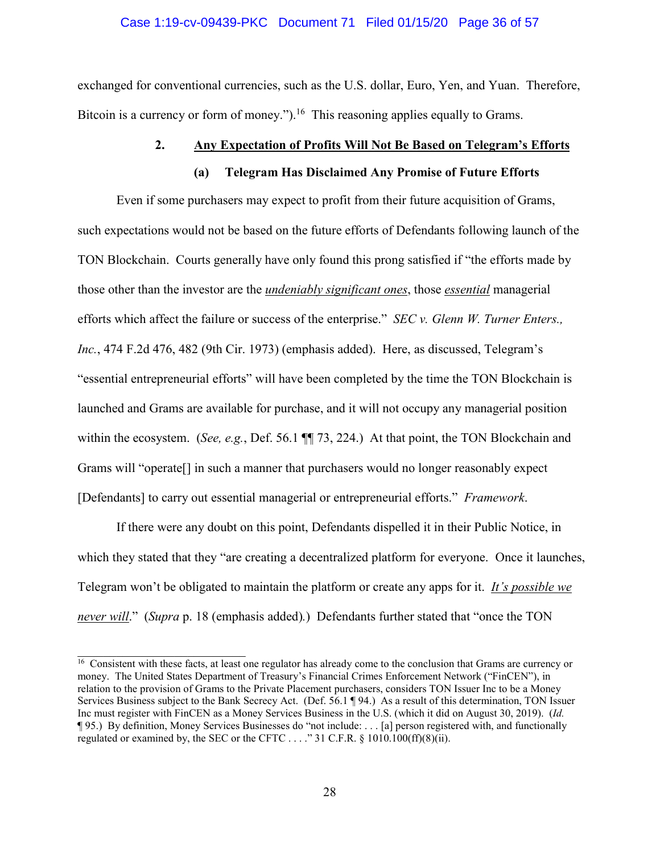#### Case 1:19-cv-09439-PKC Document 71 Filed 01/15/20 Page 36 of 57

exchanged for conventional currencies, such as the U.S. dollar, Euro, Yen, and Yuan. Therefore, Bitcoin is a currency or form of money.").<sup>16</sup> This reasoning applies equally to Grams.

### **2. Any Expectation of Profits Will Not Be Based on Telegram's Efforts**

#### **(a) Telegram Has Disclaimed Any Promise of Future Efforts**

Even if some purchasers may expect to profit from their future acquisition of Grams, such expectations would not be based on the future efforts of Defendants following launch of the TON Blockchain. Courts generally have only found this prong satisfied if "the efforts made by those other than the investor are the *undeniably significant ones*, those *essential* managerial efforts which affect the failure or success of the enterprise." *SEC v. Glenn W. Turner Enters., Inc.*, 474 F.2d 476, 482 (9th Cir. 1973) (emphasis added). Here, as discussed, Telegram's "essential entrepreneurial efforts" will have been completed by the time the TON Blockchain is launched and Grams are available for purchase, and it will not occupy any managerial position within the ecosystem. (*See, e.g.*, Def. 56.1 ¶¶ 73, 224.) At that point, the TON Blockchain and Grams will "operate[] in such a manner that purchasers would no longer reasonably expect [Defendants] to carry out essential managerial or entrepreneurial efforts." *Framework*.

If there were any doubt on this point, Defendants dispelled it in their Public Notice, in which they stated that they "are creating a decentralized platform for everyone. Once it launches, Telegram won't be obligated to maintain the platform or create any apps for it. *It's possible we never will*." (*Supra* p. 18 (emphasis added)*.*) Defendants further stated that "once the TON

 $\frac{16}{16}$  Consistent with these facts, at least one regulator has already come to the conclusion that Grams are currency or money. The United States Department of Treasury's Financial Crimes Enforcement Network ("FinCEN"), in relation to the provision of Grams to the Private Placement purchasers, considers TON Issuer Inc to be a Money Services Business subject to the Bank Secrecy Act. (Def. 56.1 ¶ 94.) As a result of this determination, TON Issuer Inc must register with FinCEN as a Money Services Business in the U.S. (which it did on August 30, 2019). (*Id.* ¶ 95.) By definition, Money Services Businesses do "not include: . . . [a] person registered with, and functionally regulated or examined by, the SEC or the CFTC . . . ." 31 C.F.R. § 1010.100(ff)(8)(ii).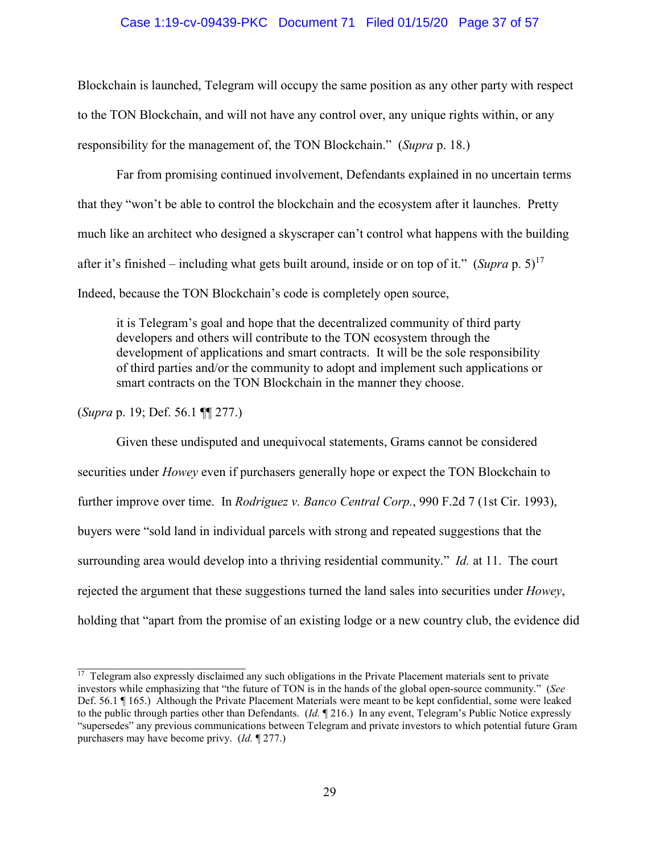### Case 1:19-cv-09439-PKC Document 71 Filed 01/15/20 Page 37 of 57

Blockchain is launched, Telegram will occupy the same position as any other party with respect to the TON Blockchain, and will not have any control over, any unique rights within, or any responsibility for the management of, the TON Blockchain." (*Supra* p. 18.)

Far from promising continued involvement, Defendants explained in no uncertain terms that they "won't be able to control the blockchain and the ecosystem after it launches. Pretty much like an architect who designed a skyscraper can't control what happens with the building after it's finished – including what gets built around, inside or on top of it." (*Supra* p. 5)<sup>17</sup> Indeed, because the TON Blockchain's code is completely open source,

it is Telegram's goal and hope that the decentralized community of third party developers and others will contribute to the TON ecosystem through the development of applications and smart contracts. It will be the sole responsibility of third parties and/or the community to adopt and implement such applications or smart contracts on the TON Blockchain in the manner they choose.

(*Supra* p. 19; Def. 56.1 ¶¶ 277.)

Given these undisputed and unequivocal statements, Grams cannot be considered securities under *Howey* even if purchasers generally hope or expect the TON Blockchain to further improve over time. In *Rodriguez v. Banco Central Corp.*, 990 F.2d 7 (1st Cir. 1993), buyers were "sold land in individual parcels with strong and repeated suggestions that the surrounding area would develop into a thriving residential community." *Id.* at 11. The court rejected the argument that these suggestions turned the land sales into securities under *Howey*, holding that "apart from the promise of an existing lodge or a new country club, the evidence did

 $17$  Telegram also expressly disclaimed any such obligations in the Private Placement materials sent to private investors while emphasizing that "the future of TON is in the hands of the global open-source community." (*See* Def. 56.1 ¶ 165.) Although the Private Placement Materials were meant to be kept confidential, some were leaked to the public through parties other than Defendants. (*Id.* ¶ 216.) In any event, Telegram's Public Notice expressly "supersedes" any previous communications between Telegram and private investors to which potential future Gram purchasers may have become privy. (*Id.* ¶ 277.)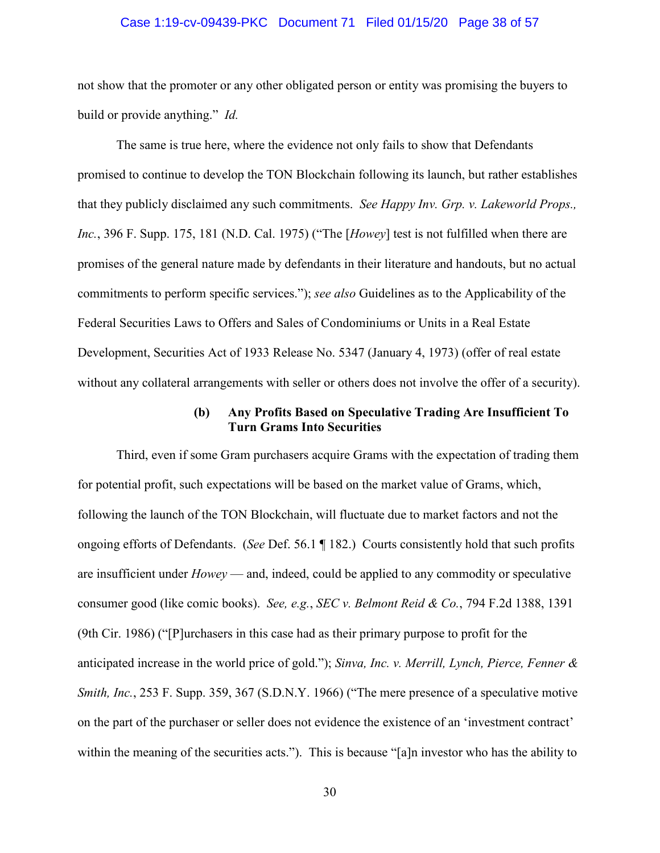### Case 1:19-cv-09439-PKC Document 71 Filed 01/15/20 Page 38 of 57

not show that the promoter or any other obligated person or entity was promising the buyers to build or provide anything." *Id.*

The same is true here, where the evidence not only fails to show that Defendants promised to continue to develop the TON Blockchain following its launch, but rather establishes that they publicly disclaimed any such commitments. *See Happy Inv. Grp. v. Lakeworld Props., Inc.*, 396 F. Supp. 175, 181 (N.D. Cal. 1975) ("The [*Howey*] test is not fulfilled when there are promises of the general nature made by defendants in their literature and handouts, but no actual commitments to perform specific services."); *see also* Guidelines as to the Applicability of the Federal Securities Laws to Offers and Sales of Condominiums or Units in a Real Estate Development, Securities Act of 1933 Release No. 5347 (January 4, 1973) (offer of real estate without any collateral arrangements with seller or others does not involve the offer of a security).

### **(b) Any Profits Based on Speculative Trading Are Insufficient To Turn Grams Into Securities**

Third, even if some Gram purchasers acquire Grams with the expectation of trading them for potential profit, such expectations will be based on the market value of Grams, which, following the launch of the TON Blockchain, will fluctuate due to market factors and not the ongoing efforts of Defendants. (*See* Def. 56.1 ¶ 182.) Courts consistently hold that such profits are insufficient under *Howey* — and, indeed, could be applied to any commodity or speculative consumer good (like comic books). *See, e.g.*, *SEC v. Belmont Reid & Co.*, 794 F.2d 1388, 1391 (9th Cir. 1986) ("[P]urchasers in this case had as their primary purpose to profit for the anticipated increase in the world price of gold."); *Sinva, Inc. v. Merrill, Lynch, Pierce, Fenner & Smith, Inc.*, 253 F. Supp. 359, 367 (S.D.N.Y. 1966) ("The mere presence of a speculative motive on the part of the purchaser or seller does not evidence the existence of an 'investment contract' within the meaning of the securities acts."). This is because "[a]n investor who has the ability to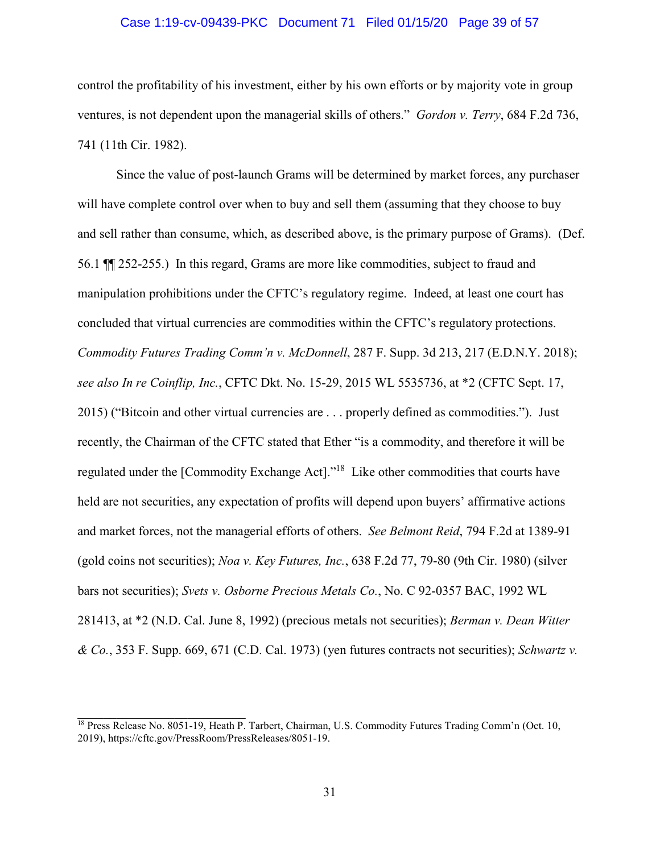### Case 1:19-cv-09439-PKC Document 71 Filed 01/15/20 Page 39 of 57

control the profitability of his investment, either by his own efforts or by majority vote in group ventures, is not dependent upon the managerial skills of others." *Gordon v. Terry*, 684 F.2d 736, 741 (11th Cir. 1982).

Since the value of post-launch Grams will be determined by market forces, any purchaser will have complete control over when to buy and sell them (assuming that they choose to buy and sell rather than consume, which, as described above, is the primary purpose of Grams). (Def. 56.1 ¶¶ 252-255.) In this regard, Grams are more like commodities, subject to fraud and manipulation prohibitions under the CFTC's regulatory regime. Indeed, at least one court has concluded that virtual currencies are commodities within the CFTC's regulatory protections. *Commodity Futures Trading Comm'n v. McDonnell*, 287 F. Supp. 3d 213, 217 (E.D.N.Y. 2018); *see also In re Coinflip, Inc.*, CFTC Dkt. No. 15-29, 2015 WL 5535736, at \*2 (CFTC Sept. 17, 2015) ("Bitcoin and other virtual currencies are . . . properly defined as commodities."). Just recently, the Chairman of the CFTC stated that Ether "is a commodity, and therefore it will be regulated under the [Commodity Exchange Act]."<sup>18</sup> Like other commodities that courts have held are not securities, any expectation of profits will depend upon buyers' affirmative actions and market forces, not the managerial efforts of others. *See Belmont Reid*, 794 F.2d at 1389-91 (gold coins not securities); *Noa v. Key Futures, Inc.*, 638 F.2d 77, 79-80 (9th Cir. 1980) (silver bars not securities); *Svets v. Osborne Precious Metals Co.*, No. C 92-0357 BAC, 1992 WL 281413, at \*2 (N.D. Cal. June 8, 1992) (precious metals not securities); *Berman v. Dean Witter & Co.*, 353 F. Supp. 669, 671 (C.D. Cal. 1973) (yen futures contracts not securities); *Schwartz v.* 

<sup>&</sup>lt;sup>18</sup> Press Release No. 8051-19, Heath P. Tarbert, Chairman, U.S. Commodity Futures Trading Comm'n (Oct. 10, 2019), https://cftc.gov/PressRoom/PressReleases/8051-19.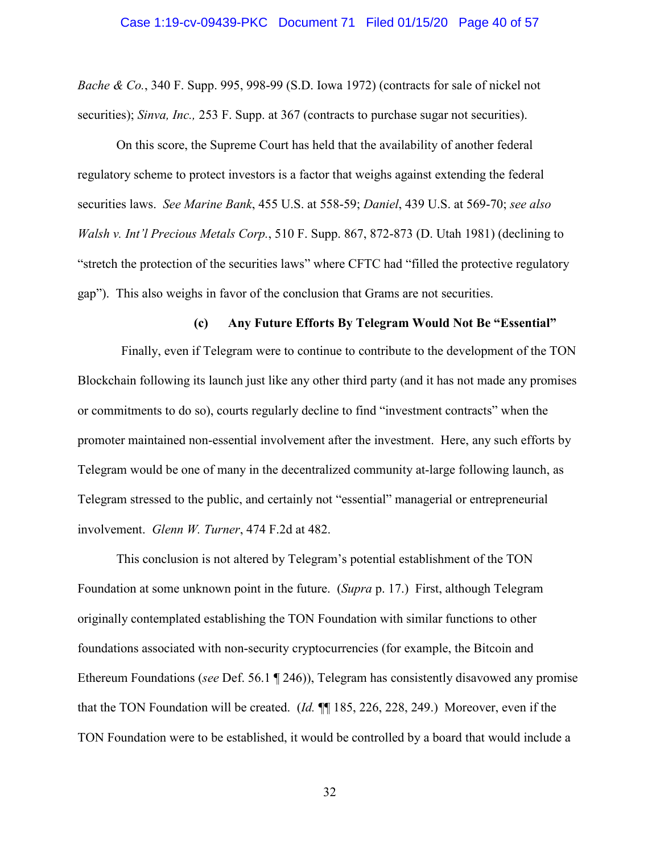*Bache & Co.*, 340 F. Supp. 995, 998-99 (S.D. Iowa 1972) (contracts for sale of nickel not securities); *Sinva, Inc.*, 253 F. Supp. at 367 (contracts to purchase sugar not securities).

On this score, the Supreme Court has held that the availability of another federal regulatory scheme to protect investors is a factor that weighs against extending the federal securities laws. *See Marine Bank*, 455 U.S. at 558-59; *Daniel*, 439 U.S. at 569-70; *see also Walsh v. Int'l Precious Metals Corp.*, 510 F. Supp. 867, 872-873 (D. Utah 1981) (declining to "stretch the protection of the securities laws" where CFTC had "filled the protective regulatory gap"). This also weighs in favor of the conclusion that Grams are not securities.

### **(c) Any Future Efforts By Telegram Would Not Be "Essential"**

Finally, even if Telegram were to continue to contribute to the development of the TON Blockchain following its launch just like any other third party (and it has not made any promises or commitments to do so), courts regularly decline to find "investment contracts" when the promoter maintained non-essential involvement after the investment. Here, any such efforts by Telegram would be one of many in the decentralized community at-large following launch, as Telegram stressed to the public, and certainly not "essential" managerial or entrepreneurial involvement. *Glenn W. Turner*, 474 F.2d at 482.

This conclusion is not altered by Telegram's potential establishment of the TON Foundation at some unknown point in the future. (*Supra* p. 17.) First, although Telegram originally contemplated establishing the TON Foundation with similar functions to other foundations associated with non-security cryptocurrencies (for example, the Bitcoin and Ethereum Foundations (*see* Def. 56.1 ¶ 246)), Telegram has consistently disavowed any promise that the TON Foundation will be created. (*Id.* ¶¶ 185, 226, 228, 249.) Moreover, even if the TON Foundation were to be established, it would be controlled by a board that would include a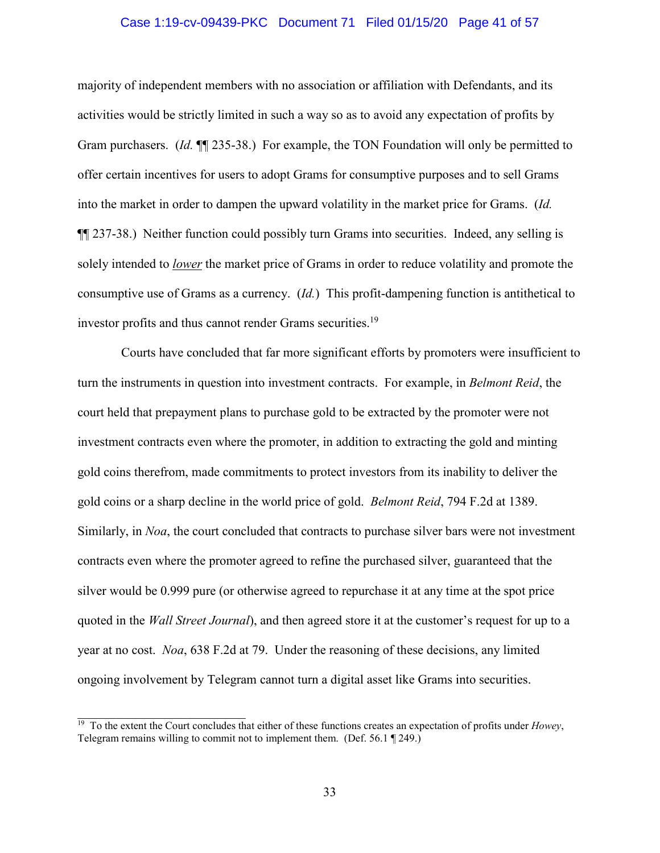### Case 1:19-cv-09439-PKC Document 71 Filed 01/15/20 Page 41 of 57

majority of independent members with no association or affiliation with Defendants, and its activities would be strictly limited in such a way so as to avoid any expectation of profits by Gram purchasers. (*Id.* ¶¶ 235-38.) For example, the TON Foundation will only be permitted to offer certain incentives for users to adopt Grams for consumptive purposes and to sell Grams into the market in order to dampen the upward volatility in the market price for Grams. (*Id.* ¶¶ 237-38.) Neither function could possibly turn Grams into securities. Indeed, any selling is solely intended to *lower* the market price of Grams in order to reduce volatility and promote the consumptive use of Grams as a currency. (*Id.*) This profit-dampening function is antithetical to investor profits and thus cannot render Grams securities.<sup>19</sup>

Courts have concluded that far more significant efforts by promoters were insufficient to turn the instruments in question into investment contracts. For example, in *Belmont Reid*, the court held that prepayment plans to purchase gold to be extracted by the promoter were not investment contracts even where the promoter, in addition to extracting the gold and minting gold coins therefrom, made commitments to protect investors from its inability to deliver the gold coins or a sharp decline in the world price of gold. *Belmont Reid*, 794 F.2d at 1389. Similarly, in *Noa*, the court concluded that contracts to purchase silver bars were not investment contracts even where the promoter agreed to refine the purchased silver, guaranteed that the silver would be 0.999 pure (or otherwise agreed to repurchase it at any time at the spot price quoted in the *Wall Street Journal*), and then agreed store it at the customer's request for up to a year at no cost. *Noa*, 638 F.2d at 79. Under the reasoning of these decisions, any limited ongoing involvement by Telegram cannot turn a digital asset like Grams into securities.

<sup>19</sup> To the extent the Court concludes that either of these functions creates an expectation of profits under *Howey*, Telegram remains willing to commit not to implement them. (Def. 56.1 ¶ 249.)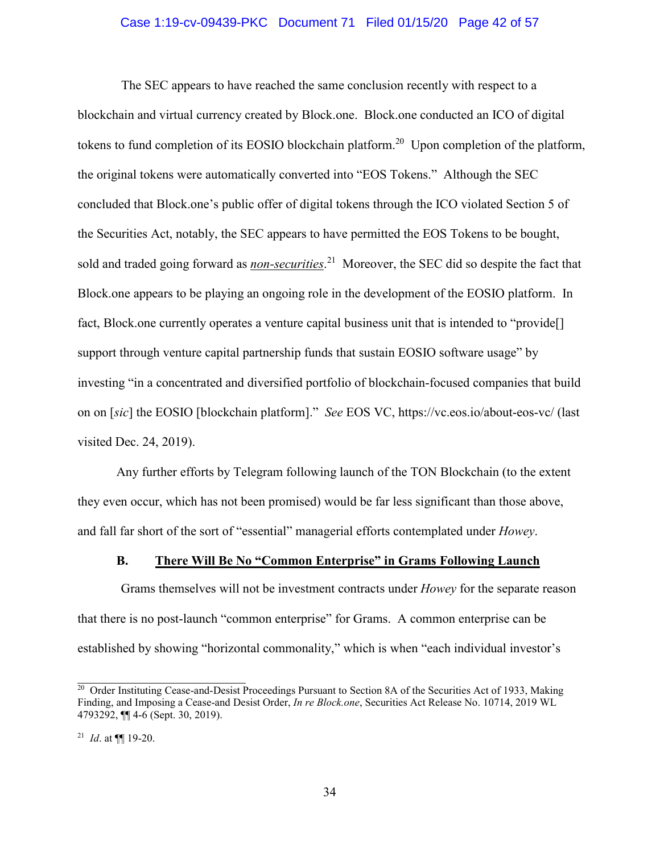### Case 1:19-cv-09439-PKC Document 71 Filed 01/15/20 Page 42 of 57

The SEC appears to have reached the same conclusion recently with respect to a blockchain and virtual currency created by Block.one. Block.one conducted an ICO of digital tokens to fund completion of its EOSIO blockchain platform.<sup>20</sup> Upon completion of the platform, the original tokens were automatically converted into "EOS Tokens." Although the SEC concluded that Block.one's public offer of digital tokens through the ICO violated Section 5 of the Securities Act, notably, the SEC appears to have permitted the EOS Tokens to be bought, sold and traded going forward as *non-securities*. <sup>21</sup> Moreover, the SEC did so despite the fact that Block.one appears to be playing an ongoing role in the development of the EOSIO platform. In fact, Block.one currently operates a venture capital business unit that is intended to "provide<sup>[]</sup> support through venture capital partnership funds that sustain EOSIO software usage" by investing "in a concentrated and diversified portfolio of blockchain-focused companies that build on on [*sic*] the EOSIO [blockchain platform]." *See* EOS VC, https://vc.eos.io/about-eos-vc/ (last visited Dec. 24, 2019).

Any further efforts by Telegram following launch of the TON Blockchain (to the extent they even occur, which has not been promised) would be far less significant than those above, and fall far short of the sort of "essential" managerial efforts contemplated under *Howey*.

### **B. There Will Be No "Common Enterprise" in Grams Following Launch**

Grams themselves will not be investment contracts under *Howey* for the separate reason that there is no post-launch "common enterprise" for Grams. A common enterprise can be established by showing "horizontal commonality," which is when "each individual investor's

 $\frac{20}{20}$  Order Instituting Cease-and-Desist Proceedings Pursuant to Section 8A of the Securities Act of 1933, Making Finding, and Imposing a Cease-and Desist Order, *In re Block.one*, Securities Act Release No. 10714, 2019 WL 4793292, ¶¶ 4-6 (Sept. 30, 2019).

<sup>21</sup> *Id*. at ¶¶ 19-20.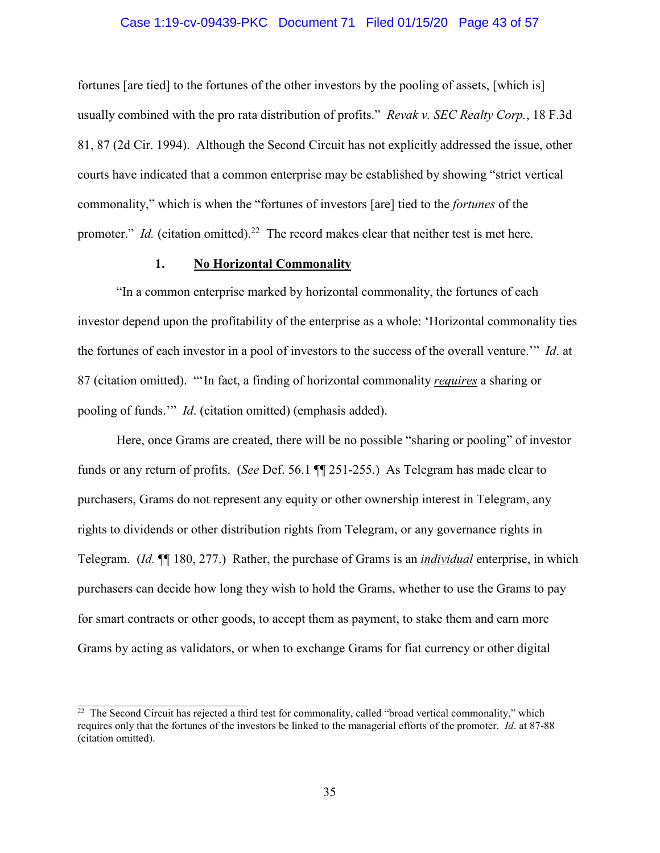### Case 1:19-cv-09439-PKC Document 71 Filed 01/15/20 Page 43 of 57

fortunes [are tied] to the fortunes of the other investors by the pooling of assets, [which is] usually combined with the pro rata distribution of profits." *Revak v. SEC Realty Corp.*, 18 F.3d 81, 87 (2d Cir. 1994). Although the Second Circuit has not explicitly addressed the issue, other courts have indicated that a common enterprise may be established by showing "strict vertical commonality," which is when the "fortunes of investors [are] tied to the *fortunes* of the promoter." *Id.* (citation omitted).<sup>22</sup> The record makes clear that neither test is met here.

### **1. No Horizontal Commonality**

"In a common enterprise marked by horizontal commonality, the fortunes of each investor depend upon the profitability of the enterprise as a whole: 'Horizontal commonality ties the fortunes of each investor in a pool of investors to the success of the overall venture.'" *Id*. at 87 (citation omitted). "'In fact, a finding of horizontal commonality *requires* a sharing or pooling of funds.'" *Id*. (citation omitted) (emphasis added).

Here, once Grams are created, there will be no possible "sharing or pooling" of investor funds or any return of profits. (*See* Def. 56.1 ¶¶ 251-255.) As Telegram has made clear to purchasers, Grams do not represent any equity or other ownership interest in Telegram, any rights to dividends or other distribution rights from Telegram, or any governance rights in Telegram. (*Id.* ¶¶ 180, 277.) Rather, the purchase of Grams is an *individual* enterprise, in which purchasers can decide how long they wish to hold the Grams, whether to use the Grams to pay for smart contracts or other goods, to accept them as payment, to stake them and earn more Grams by acting as validators, or when to exchange Grams for fiat currency or other digital

 $\frac{22}{2}$  The Second Circuit has rejected a third test for commonality, called "broad vertical commonality," which requires only that the fortunes of the investors be linked to the managerial efforts of the promoter. *Id*. at 87-88 (citation omitted).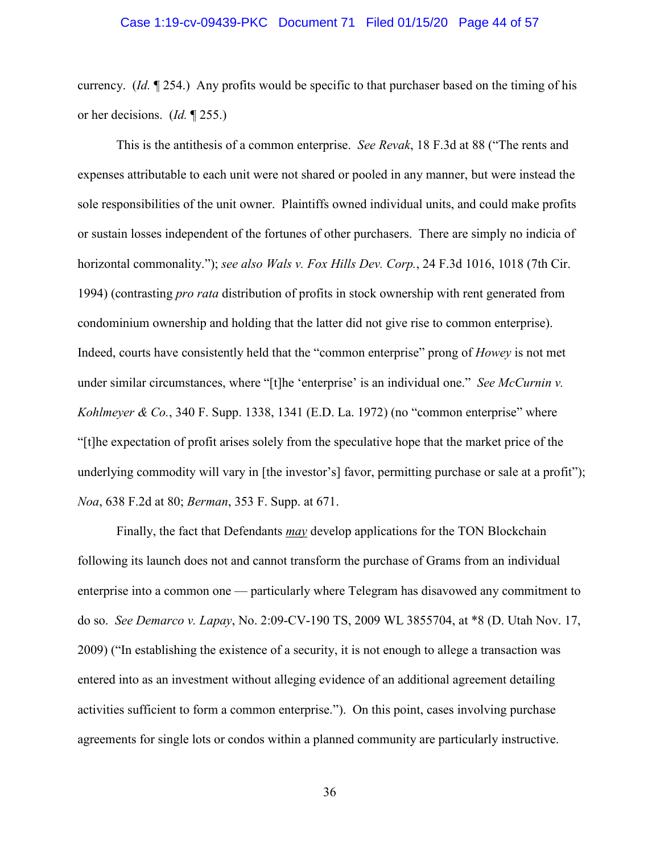currency. (*Id.* ¶ 254.) Any profits would be specific to that purchaser based on the timing of his or her decisions. (*Id.* ¶ 255.)

This is the antithesis of a common enterprise. *See Revak*, 18 F.3d at 88 ("The rents and expenses attributable to each unit were not shared or pooled in any manner, but were instead the sole responsibilities of the unit owner. Plaintiffs owned individual units, and could make profits or sustain losses independent of the fortunes of other purchasers. There are simply no indicia of horizontal commonality."); *see also Wals v. Fox Hills Dev. Corp.*, 24 F.3d 1016, 1018 (7th Cir. 1994) (contrasting *pro rata* distribution of profits in stock ownership with rent generated from condominium ownership and holding that the latter did not give rise to common enterprise). Indeed, courts have consistently held that the "common enterprise" prong of *Howey* is not met under similar circumstances, where "[t]he 'enterprise' is an individual one." *See McCurnin v. Kohlmeyer & Co.*, 340 F. Supp. 1338, 1341 (E.D. La. 1972) (no "common enterprise" where "[t]he expectation of profit arises solely from the speculative hope that the market price of the underlying commodity will vary in [the investor's] favor, permitting purchase or sale at a profit"); *Noa*, 638 F.2d at 80; *Berman*, 353 F. Supp. at 671.

Finally, the fact that Defendants *may* develop applications for the TON Blockchain following its launch does not and cannot transform the purchase of Grams from an individual enterprise into a common one — particularly where Telegram has disavowed any commitment to do so. *See Demarco v. Lapay*, No. 2:09-CV-190 TS, 2009 WL 3855704, at \*8 (D. Utah Nov. 17, 2009) ("In establishing the existence of a security, it is not enough to allege a transaction was entered into as an investment without alleging evidence of an additional agreement detailing activities sufficient to form a common enterprise."). On this point, cases involving purchase agreements for single lots or condos within a planned community are particularly instructive.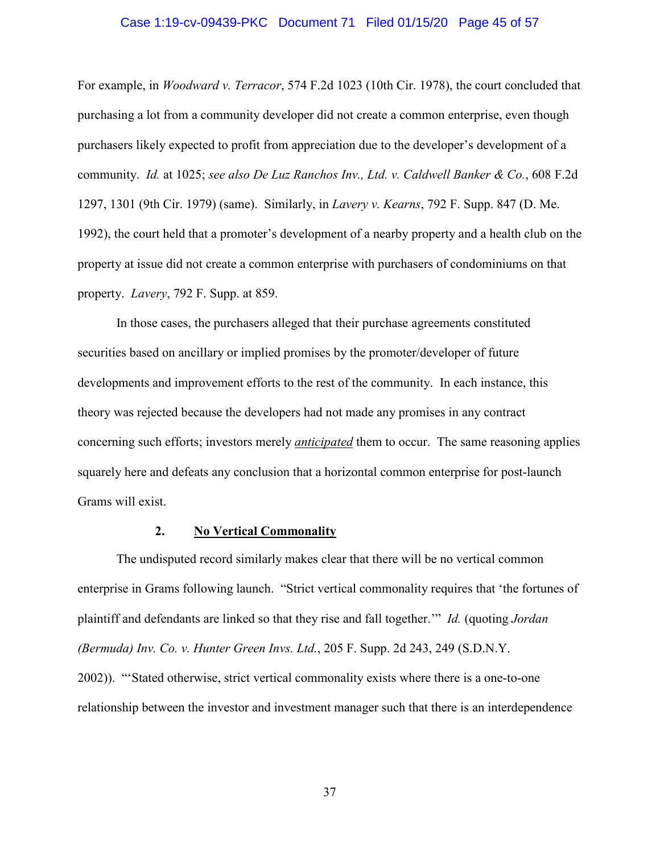### Case 1:19-cv-09439-PKC Document 71 Filed 01/15/20 Page 45 of 57

For example, in *Woodward v. Terracor*, 574 F.2d 1023 (10th Cir. 1978), the court concluded that purchasing a lot from a community developer did not create a common enterprise, even though purchasers likely expected to profit from appreciation due to the developer's development of a community. *Id.* at 1025; *see also De Luz Ranchos Inv., Ltd. v. Caldwell Banker & Co.*, 608 F.2d 1297, 1301 (9th Cir. 1979) (same). Similarly, in *Lavery v. Kearns*, 792 F. Supp. 847 (D. Me. 1992), the court held that a promoter's development of a nearby property and a health club on the property at issue did not create a common enterprise with purchasers of condominiums on that property. *Lavery*, 792 F. Supp. at 859.

In those cases, the purchasers alleged that their purchase agreements constituted securities based on ancillary or implied promises by the promoter/developer of future developments and improvement efforts to the rest of the community. In each instance, this theory was rejected because the developers had not made any promises in any contract concerning such efforts; investors merely *anticipated* them to occur. The same reasoning applies squarely here and defeats any conclusion that a horizontal common enterprise for post-launch Grams will exist.

### **2. No Vertical Commonality**

The undisputed record similarly makes clear that there will be no vertical common enterprise in Grams following launch. "Strict vertical commonality requires that 'the fortunes of plaintiff and defendants are linked so that they rise and fall together.'" *Id.* (quoting *Jordan (Bermuda) Inv. Co. v. Hunter Green Invs. Ltd.*, 205 F. Supp. 2d 243, 249 (S.D.N.Y. 2002)). "'Stated otherwise, strict vertical commonality exists where there is a one-to-one relationship between the investor and investment manager such that there is an interdependence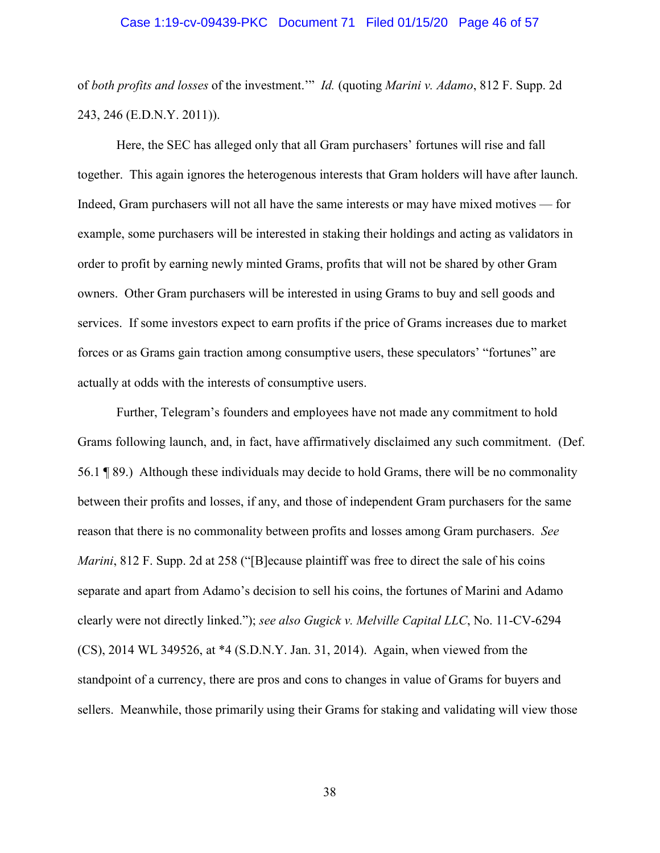### Case 1:19-cv-09439-PKC Document 71 Filed 01/15/20 Page 46 of 57

of *both profits and losses* of the investment.'" *Id.* (quoting *Marini v. Adamo*, 812 F. Supp. 2d 243, 246 (E.D.N.Y. 2011)).

Here, the SEC has alleged only that all Gram purchasers' fortunes will rise and fall together. This again ignores the heterogenous interests that Gram holders will have after launch. Indeed, Gram purchasers will not all have the same interests or may have mixed motives — for example, some purchasers will be interested in staking their holdings and acting as validators in order to profit by earning newly minted Grams, profits that will not be shared by other Gram owners. Other Gram purchasers will be interested in using Grams to buy and sell goods and services. If some investors expect to earn profits if the price of Grams increases due to market forces or as Grams gain traction among consumptive users, these speculators' "fortunes" are actually at odds with the interests of consumptive users.

Further, Telegram's founders and employees have not made any commitment to hold Grams following launch, and, in fact, have affirmatively disclaimed any such commitment. (Def. 56.1 ¶ 89.) Although these individuals may decide to hold Grams, there will be no commonality between their profits and losses, if any, and those of independent Gram purchasers for the same reason that there is no commonality between profits and losses among Gram purchasers. *See Marini*, 812 F. Supp. 2d at 258 ("[B]ecause plaintiff was free to direct the sale of his coins separate and apart from Adamo's decision to sell his coins, the fortunes of Marini and Adamo clearly were not directly linked."); *see also Gugick v. Melville Capital LLC*, No. 11-CV-6294 (CS), 2014 WL 349526, at \*4 (S.D.N.Y. Jan. 31, 2014). Again, when viewed from the standpoint of a currency, there are pros and cons to changes in value of Grams for buyers and sellers. Meanwhile, those primarily using their Grams for staking and validating will view those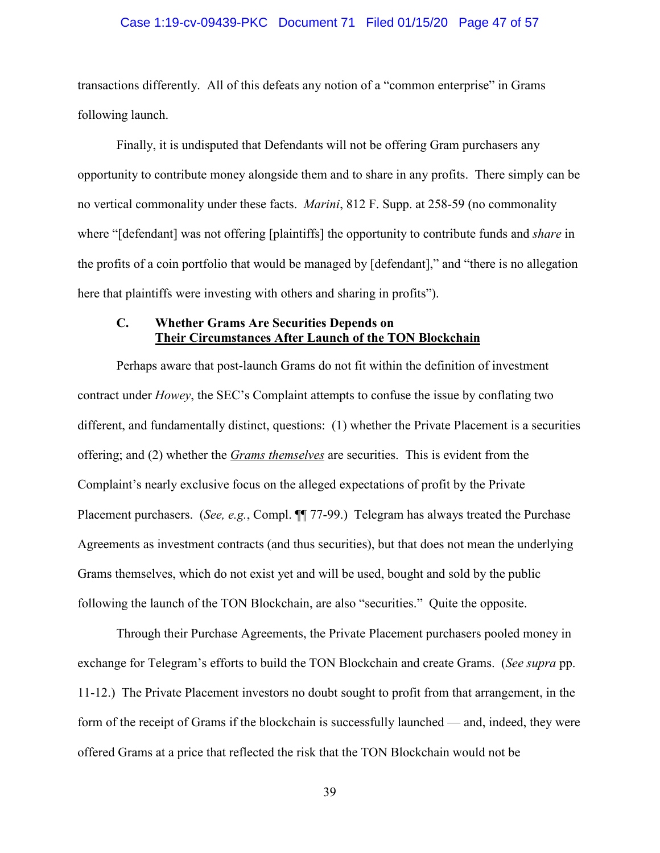### Case 1:19-cv-09439-PKC Document 71 Filed 01/15/20 Page 47 of 57

transactions differently. All of this defeats any notion of a "common enterprise" in Grams following launch.

Finally, it is undisputed that Defendants will not be offering Gram purchasers any opportunity to contribute money alongside them and to share in any profits. There simply can be no vertical commonality under these facts. *Marini*, 812 F. Supp. at 258-59 (no commonality where "[defendant] was not offering [plaintiffs] the opportunity to contribute funds and *share* in the profits of a coin portfolio that would be managed by [defendant]," and "there is no allegation here that plaintiffs were investing with others and sharing in profits").

### **C. Whether Grams Are Securities Depends on Their Circumstances After Launch of the TON Blockchain**

Perhaps aware that post-launch Grams do not fit within the definition of investment contract under *Howey*, the SEC's Complaint attempts to confuse the issue by conflating two different, and fundamentally distinct, questions: (1) whether the Private Placement is a securities offering; and (2) whether the *Grams themselves* are securities. This is evident from the Complaint's nearly exclusive focus on the alleged expectations of profit by the Private Placement purchasers. (*See, e.g.*, Compl.  $\P$  77-99.) Telegram has always treated the Purchase Agreements as investment contracts (and thus securities), but that does not mean the underlying Grams themselves, which do not exist yet and will be used, bought and sold by the public following the launch of the TON Blockchain, are also "securities." Quite the opposite.

Through their Purchase Agreements, the Private Placement purchasers pooled money in exchange for Telegram's efforts to build the TON Blockchain and create Grams. (*See supra* pp. 11-12.) The Private Placement investors no doubt sought to profit from that arrangement, in the form of the receipt of Grams if the blockchain is successfully launched — and, indeed, they were offered Grams at a price that reflected the risk that the TON Blockchain would not be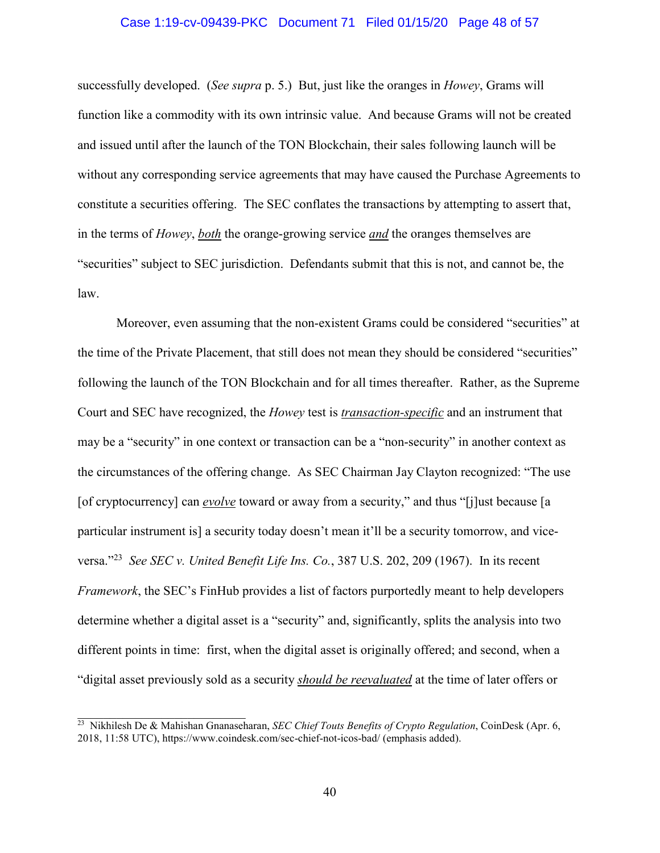### Case 1:19-cv-09439-PKC Document 71 Filed 01/15/20 Page 48 of 57

successfully developed. (*See supra* p. 5.) But, just like the oranges in *Howey*, Grams will function like a commodity with its own intrinsic value. And because Grams will not be created and issued until after the launch of the TON Blockchain, their sales following launch will be without any corresponding service agreements that may have caused the Purchase Agreements to constitute a securities offering. The SEC conflates the transactions by attempting to assert that, in the terms of *Howey*, *both* the orange-growing service *and* the oranges themselves are "securities" subject to SEC jurisdiction. Defendants submit that this is not, and cannot be, the law.

Moreover, even assuming that the non-existent Grams could be considered "securities" at the time of the Private Placement, that still does not mean they should be considered "securities" following the launch of the TON Blockchain and for all times thereafter. Rather, as the Supreme Court and SEC have recognized, the *Howey* test is *transaction-specific* and an instrument that may be a "security" in one context or transaction can be a "non-security" in another context as the circumstances of the offering change. As SEC Chairman Jay Clayton recognized: "The use [of cryptocurrency] can *evolve* toward or away from a security," and thus "[j]ust because [a particular instrument is] a security today doesn't mean it'll be a security tomorrow, and viceversa."<sup>23</sup> *See SEC v. United Benefit Life Ins. Co.*, 387 U.S. 202, 209 (1967). In its recent *Framework*, the SEC's FinHub provides a list of factors purportedly meant to help developers determine whether a digital asset is a "security" and, significantly, splits the analysis into two different points in time: first, when the digital asset is originally offered; and second, when a "digital asset previously sold as a security *should be reevaluated* at the time of later offers or

<sup>23</sup> Nikhilesh De & Mahishan Gnanaseharan, *SEC Chief Touts Benefits of Crypto Regulation*, CoinDesk (Apr. 6, 2018, 11:58 UTC), https://www.coindesk.com/sec-chief-not-icos-bad/ (emphasis added).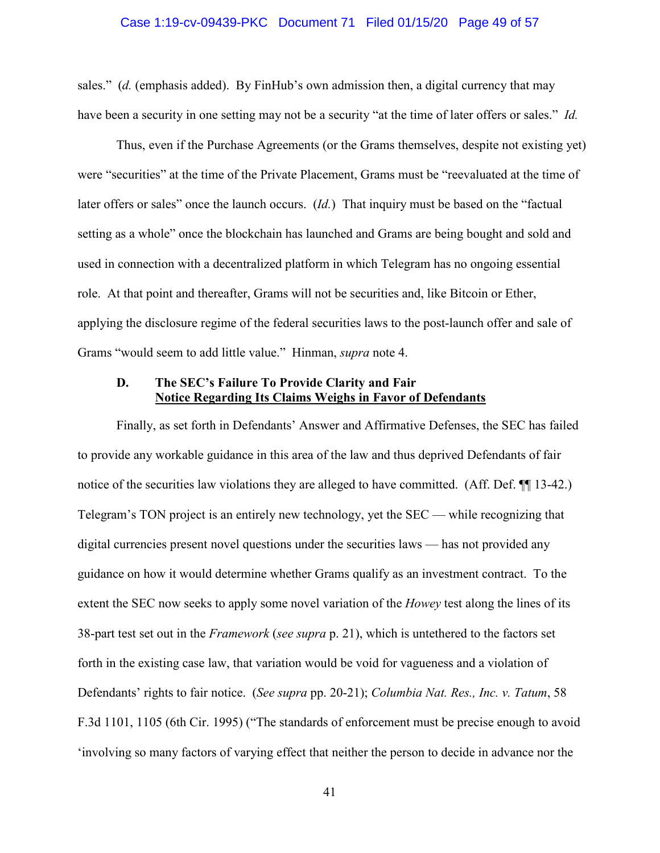### Case 1:19-cv-09439-PKC Document 71 Filed 01/15/20 Page 49 of 57

sales." (*d.* (emphasis added). By FinHub's own admission then, a digital currency that may have been a security in one setting may not be a security "at the time of later offers or sales." *Id.*

Thus, even if the Purchase Agreements (or the Grams themselves, despite not existing yet) were "securities" at the time of the Private Placement, Grams must be "reevaluated at the time of later offers or sales" once the launch occurs. (*Id.*) That inquiry must be based on the "factual setting as a whole" once the blockchain has launched and Grams are being bought and sold and used in connection with a decentralized platform in which Telegram has no ongoing essential role. At that point and thereafter, Grams will not be securities and, like Bitcoin or Ether, applying the disclosure regime of the federal securities laws to the post-launch offer and sale of Grams "would seem to add little value." Hinman, *supra* note 4.

### **D. The SEC's Failure To Provide Clarity and Fair Notice Regarding Its Claims Weighs in Favor of Defendants**

Finally, as set forth in Defendants' Answer and Affirmative Defenses, the SEC has failed to provide any workable guidance in this area of the law and thus deprived Defendants of fair notice of the securities law violations they are alleged to have committed. (Aff. Def.  $\P$  13-42.) Telegram's TON project is an entirely new technology, yet the SEC — while recognizing that digital currencies present novel questions under the securities laws — has not provided any guidance on how it would determine whether Grams qualify as an investment contract. To the extent the SEC now seeks to apply some novel variation of the *Howey* test along the lines of its 38-part test set out in the *Framework* (*see supra* p. 21), which is untethered to the factors set forth in the existing case law, that variation would be void for vagueness and a violation of Defendants' rights to fair notice. (*See supra* pp. 20-21); *Columbia Nat. Res., Inc. v. Tatum*, 58 F.3d 1101, 1105 (6th Cir. 1995) ("The standards of enforcement must be precise enough to avoid 'involving so many factors of varying effect that neither the person to decide in advance nor the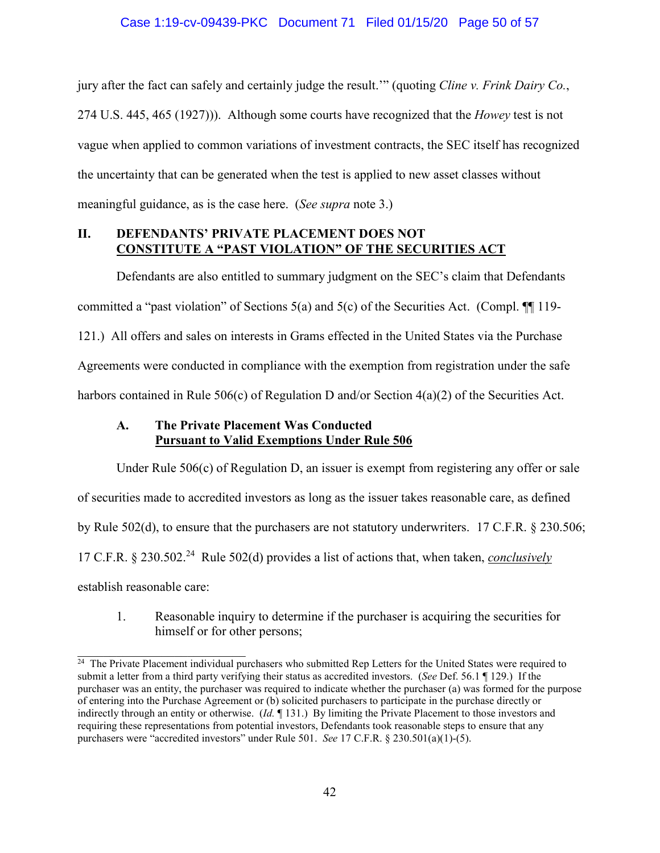jury after the fact can safely and certainly judge the result.'" (quoting *Cline v. Frink Dairy Co.*, 274 U.S. 445, 465 (1927))). Although some courts have recognized that the *Howey* test is not vague when applied to common variations of investment contracts, the SEC itself has recognized the uncertainty that can be generated when the test is applied to new asset classes without meaningful guidance, as is the case here. (*See supra* note 3.)

### **II. DEFENDANTS' PRIVATE PLACEMENT DOES NOT CONSTITUTE A "PAST VIOLATION" OF THE SECURITIES ACT**

Defendants are also entitled to summary judgment on the SEC's claim that Defendants committed a "past violation" of Sections 5(a) and 5(c) of the Securities Act. (Compl. ¶¶ 119- 121.) All offers and sales on interests in Grams effected in the United States via the Purchase Agreements were conducted in compliance with the exemption from registration under the safe harbors contained in Rule 506(c) of Regulation D and/or Section 4(a)(2) of the Securities Act.

### **A. The Private Placement Was Conducted Pursuant to Valid Exemptions Under Rule 506**

Under Rule 506(c) of Regulation D, an issuer is exempt from registering any offer or sale of securities made to accredited investors as long as the issuer takes reasonable care, as defined by Rule 502(d), to ensure that the purchasers are not statutory underwriters. 17 C.F.R. § 230.506; 17 C.F.R. § 230.502.<sup>24</sup> Rule 502(d) provides a list of actions that, when taken, *conclusively* establish reasonable care:

1. Reasonable inquiry to determine if the purchaser is acquiring the securities for himself or for other persons;

 $\frac{1}{24}$  The Private Placement individual purchasers who submitted Rep Letters for the United States were required to submit a letter from a third party verifying their status as accredited investors. (*See* Def. 56.1 ¶ 129.) If the purchaser was an entity, the purchaser was required to indicate whether the purchaser (a) was formed for the purpose of entering into the Purchase Agreement or (b) solicited purchasers to participate in the purchase directly or indirectly through an entity or otherwise. (*Id.* ¶ 131.) By limiting the Private Placement to those investors and requiring these representations from potential investors, Defendants took reasonable steps to ensure that any purchasers were "accredited investors" under Rule 501. *See* 17 C.F.R. § 230.501(a)(1)-(5).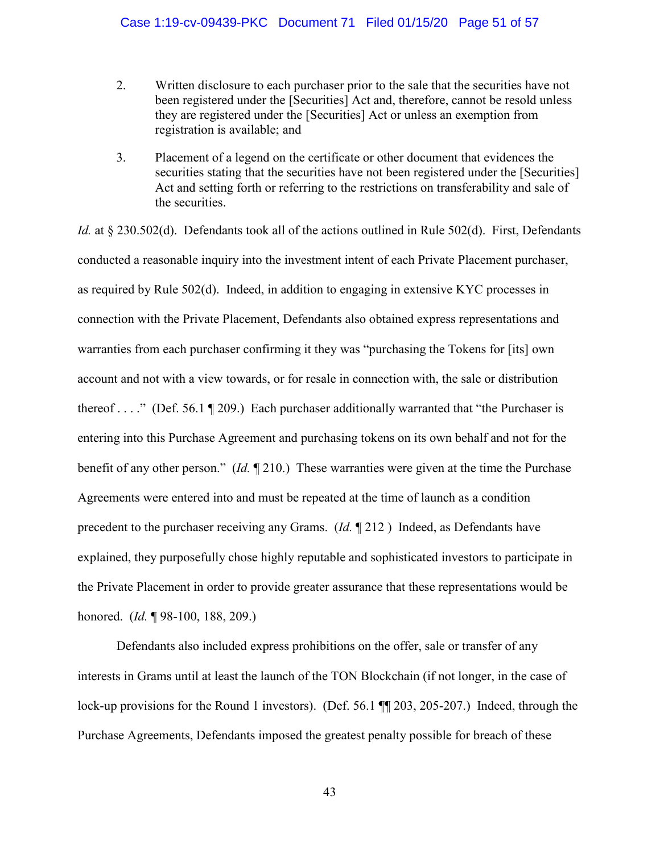### Case 1:19-cv-09439-PKC Document 71 Filed 01/15/20 Page 51 of 57

- 2. Written disclosure to each purchaser prior to the sale that the securities have not been registered under the [Securities] Act and, therefore, cannot be resold unless they are registered under the [Securities] Act or unless an exemption from registration is available; and
- 3. Placement of a legend on the certificate or other document that evidences the securities stating that the securities have not been registered under the [Securities] Act and setting forth or referring to the restrictions on transferability and sale of the securities.

*Id.* at § 230.502(d). Defendants took all of the actions outlined in Rule 502(d). First, Defendants conducted a reasonable inquiry into the investment intent of each Private Placement purchaser, as required by Rule 502(d). Indeed, in addition to engaging in extensive KYC processes in connection with the Private Placement, Defendants also obtained express representations and warranties from each purchaser confirming it they was "purchasing the Tokens for [its] own account and not with a view towards, or for resale in connection with, the sale or distribution thereof . . . ." (Def. 56.1  $\P$  209.) Each purchaser additionally warranted that "the Purchaser is entering into this Purchase Agreement and purchasing tokens on its own behalf and not for the benefit of any other person." (*Id.* ¶ 210.) These warranties were given at the time the Purchase Agreements were entered into and must be repeated at the time of launch as a condition precedent to the purchaser receiving any Grams. (*Id.* ¶ 212 ) Indeed, as Defendants have explained, they purposefully chose highly reputable and sophisticated investors to participate in the Private Placement in order to provide greater assurance that these representations would be honored. (*Id.* ¶ 98-100, 188, 209.)

Defendants also included express prohibitions on the offer, sale or transfer of any interests in Grams until at least the launch of the TON Blockchain (if not longer, in the case of lock-up provisions for the Round 1 investors). (Def. 56.1  $\P$  203, 205-207.) Indeed, through the Purchase Agreements, Defendants imposed the greatest penalty possible for breach of these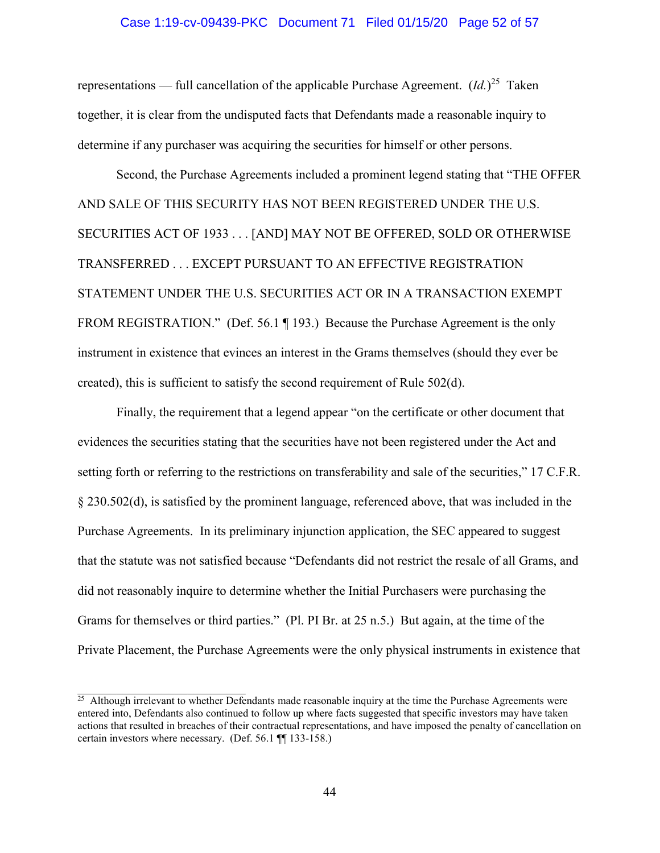### Case 1:19-cv-09439-PKC Document 71 Filed 01/15/20 Page 52 of 57

representations — full cancellation of the applicable Purchase Agreement.  $(Id.)^{25}$  Taken together, it is clear from the undisputed facts that Defendants made a reasonable inquiry to determine if any purchaser was acquiring the securities for himself or other persons.

Second, the Purchase Agreements included a prominent legend stating that "THE OFFER AND SALE OF THIS SECURITY HAS NOT BEEN REGISTERED UNDER THE U.S. SECURITIES ACT OF 1933 . . . [AND] MAY NOT BE OFFERED, SOLD OR OTHERWISE TRANSFERRED . . . EXCEPT PURSUANT TO AN EFFECTIVE REGISTRATION STATEMENT UNDER THE U.S. SECURITIES ACT OR IN A TRANSACTION EXEMPT FROM REGISTRATION." (Def. 56.1 ¶ 193.) Because the Purchase Agreement is the only instrument in existence that evinces an interest in the Grams themselves (should they ever be created), this is sufficient to satisfy the second requirement of Rule 502(d).

Finally, the requirement that a legend appear "on the certificate or other document that evidences the securities stating that the securities have not been registered under the Act and setting forth or referring to the restrictions on transferability and sale of the securities," 17 C.F.R. § 230.502(d), is satisfied by the prominent language, referenced above, that was included in the Purchase Agreements. In its preliminary injunction application, the SEC appeared to suggest that the statute was not satisfied because "Defendants did not restrict the resale of all Grams, and did not reasonably inquire to determine whether the Initial Purchasers were purchasing the Grams for themselves or third parties." (Pl. PI Br. at 25 n.5.) But again, at the time of the Private Placement, the Purchase Agreements were the only physical instruments in existence that

 $\frac{25}{25}$  Although irrelevant to whether Defendants made reasonable inquiry at the time the Purchase Agreements were entered into, Defendants also continued to follow up where facts suggested that specific investors may have taken actions that resulted in breaches of their contractual representations, and have imposed the penalty of cancellation on certain investors where necessary. (Def. 56.1 ¶¶ 133-158.)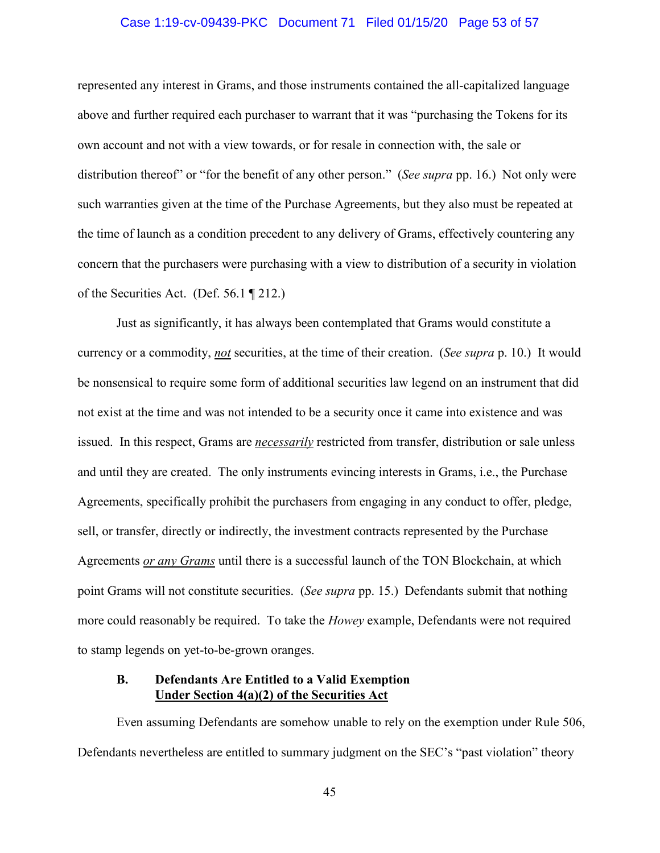### Case 1:19-cv-09439-PKC Document 71 Filed 01/15/20 Page 53 of 57

represented any interest in Grams, and those instruments contained the all-capitalized language above and further required each purchaser to warrant that it was "purchasing the Tokens for its own account and not with a view towards, or for resale in connection with, the sale or distribution thereof" or "for the benefit of any other person." (*See supra* pp. 16.) Not only were such warranties given at the time of the Purchase Agreements, but they also must be repeated at the time of launch as a condition precedent to any delivery of Grams, effectively countering any concern that the purchasers were purchasing with a view to distribution of a security in violation of the Securities Act. (Def. 56.1 ¶ 212.)

Just as significantly, it has always been contemplated that Grams would constitute a currency or a commodity, *not* securities, at the time of their creation. (*See supra* p. 10.) It would be nonsensical to require some form of additional securities law legend on an instrument that did not exist at the time and was not intended to be a security once it came into existence and was issued. In this respect, Grams are *necessarily* restricted from transfer, distribution or sale unless and until they are created. The only instruments evincing interests in Grams, i.e., the Purchase Agreements, specifically prohibit the purchasers from engaging in any conduct to offer, pledge, sell, or transfer, directly or indirectly, the investment contracts represented by the Purchase Agreements *or any Grams* until there is a successful launch of the TON Blockchain, at which point Grams will not constitute securities. (*See supra* pp. 15.) Defendants submit that nothing more could reasonably be required. To take the *Howey* example, Defendants were not required to stamp legends on yet-to-be-grown oranges.

### **B. Defendants Are Entitled to a Valid Exemption Under Section 4(a)(2) of the Securities Act**

Even assuming Defendants are somehow unable to rely on the exemption under Rule 506, Defendants nevertheless are entitled to summary judgment on the SEC's "past violation" theory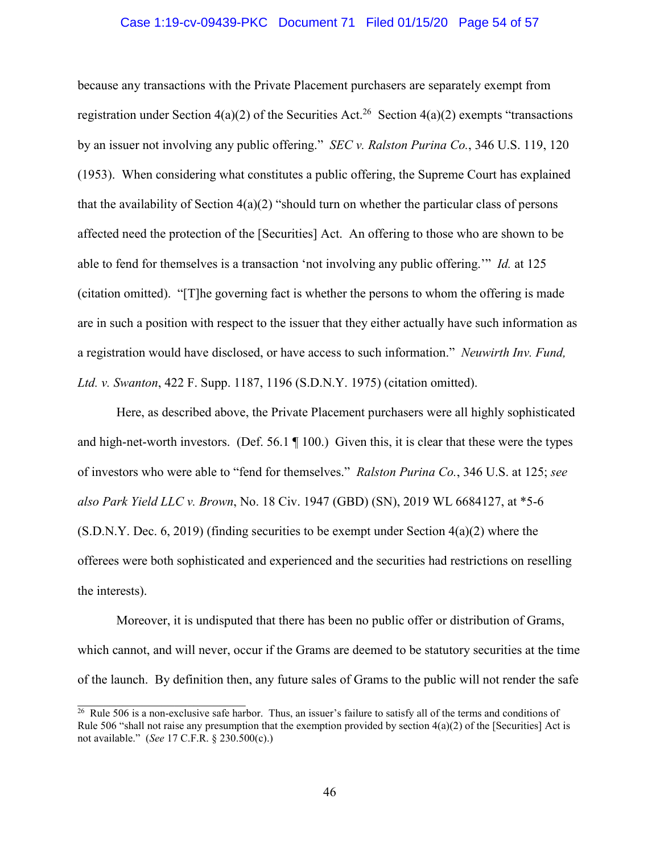### Case 1:19-cv-09439-PKC Document 71 Filed 01/15/20 Page 54 of 57

because any transactions with the Private Placement purchasers are separately exempt from registration under Section 4(a)(2) of the Securities Act.<sup>26</sup> Section 4(a)(2) exempts "transactions by an issuer not involving any public offering." *SEC v. Ralston Purina Co.*, 346 U.S. 119, 120 (1953). When considering what constitutes a public offering, the Supreme Court has explained that the availability of Section  $4(a)(2)$  "should turn on whether the particular class of persons affected need the protection of the [Securities] Act. An offering to those who are shown to be able to fend for themselves is a transaction 'not involving any public offering.'" *Id.* at 125 (citation omitted). "[T]he governing fact is whether the persons to whom the offering is made are in such a position with respect to the issuer that they either actually have such information as a registration would have disclosed, or have access to such information." *Neuwirth Inv. Fund, Ltd. v. Swanton*, 422 F. Supp. 1187, 1196 (S.D.N.Y. 1975) (citation omitted).

Here, as described above, the Private Placement purchasers were all highly sophisticated and high-net-worth investors. (Def. 56.1 ¶ 100.) Given this, it is clear that these were the types of investors who were able to "fend for themselves." *Ralston Purina Co.*, 346 U.S. at 125; *see also Park Yield LLC v. Brown*, No. 18 Civ. 1947 (GBD) (SN), 2019 WL 6684127, at \*5-6  $(S.D.N.Y.$  Dec. 6, 2019) (finding securities to be exempt under Section  $4(a)(2)$  where the offerees were both sophisticated and experienced and the securities had restrictions on reselling the interests).

Moreover, it is undisputed that there has been no public offer or distribution of Grams, which cannot, and will never, occur if the Grams are deemed to be statutory securities at the time of the launch. By definition then, any future sales of Grams to the public will not render the safe

<sup>&</sup>lt;sup>26</sup> Rule 506 is a non-exclusive safe harbor. Thus, an issuer's failure to satisfy all of the terms and conditions of Rule 506 "shall not raise any presumption that the exemption provided by section  $4(a)(2)$  of the [Securities] Act is not available." (*See* 17 C.F.R. § 230.500(c).)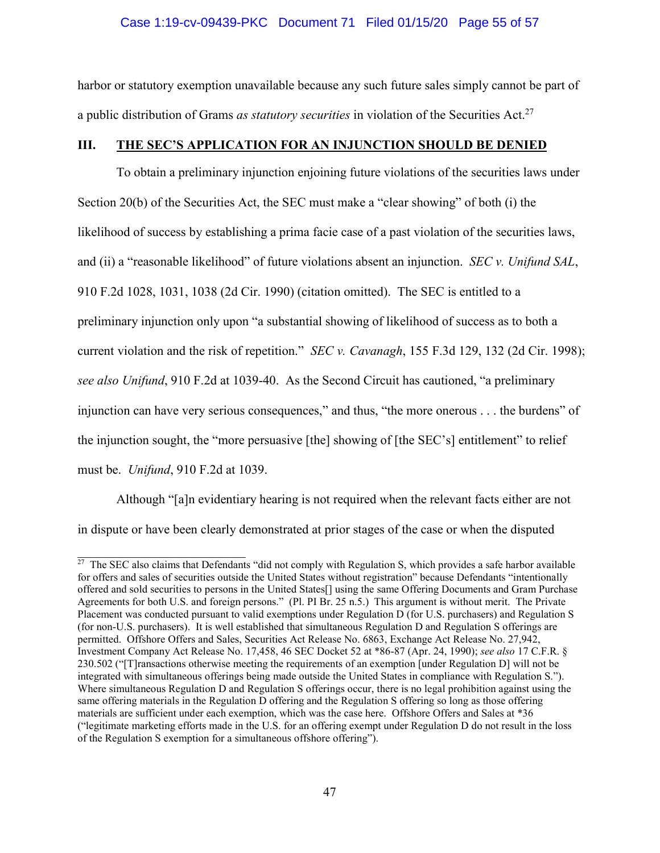### Case 1:19-cv-09439-PKC Document 71 Filed 01/15/20 Page 55 of 57

harbor or statutory exemption unavailable because any such future sales simply cannot be part of a public distribution of Grams *as statutory securities* in violation of the Securities Act.<sup>27</sup>

### **III. THE SEC'S APPLICATION FOR AN INJUNCTION SHOULD BE DENIED**

To obtain a preliminary injunction enjoining future violations of the securities laws under Section 20(b) of the Securities Act, the SEC must make a "clear showing" of both (i) the likelihood of success by establishing a prima facie case of a past violation of the securities laws, and (ii) a "reasonable likelihood" of future violations absent an injunction. *SEC v. Unifund SAL*, 910 F.2d 1028, 1031, 1038 (2d Cir. 1990) (citation omitted). The SEC is entitled to a preliminary injunction only upon "a substantial showing of likelihood of success as to both a current violation and the risk of repetition." *SEC v. Cavanagh*, 155 F.3d 129, 132 (2d Cir. 1998); *see also Unifund*, 910 F.2d at 1039-40. As the Second Circuit has cautioned, "a preliminary injunction can have very serious consequences," and thus, "the more onerous . . . the burdens" of the injunction sought, the "more persuasive [the] showing of [the SEC's] entitlement" to relief must be. *Unifund*, 910 F.2d at 1039.

Although "[a]n evidentiary hearing is not required when the relevant facts either are not in dispute or have been clearly demonstrated at prior stages of the case or when the disputed

<sup>&</sup>lt;sup>27</sup> The SEC also claims that Defendants "did not comply with Regulation S, which provides a safe harbor available for offers and sales of securities outside the United States without registration" because Defendants "intentionally offered and sold securities to persons in the United States[] using the same Offering Documents and Gram Purchase Agreements for both U.S. and foreign persons." (Pl. PI Br. 25 n.5.) This argument is without merit. The Private Placement was conducted pursuant to valid exemptions under Regulation D (for U.S. purchasers) and Regulation S (for non-U.S. purchasers). It is well established that simultaneous Regulation D and Regulation S offerings are permitted. Offshore Offers and Sales, Securities Act Release No. 6863, Exchange Act Release No. 27,942, Investment Company Act Release No. 17,458, 46 SEC Docket 52 at \*86-87 (Apr. 24, 1990); *see also* 17 C.F.R. § 230.502 ("[T]ransactions otherwise meeting the requirements of an exemption [under Regulation D] will not be integrated with simultaneous offerings being made outside the United States in compliance with Regulation S."). Where simultaneous Regulation D and Regulation S offerings occur, there is no legal prohibition against using the same offering materials in the Regulation D offering and the Regulation S offering so long as those offering materials are sufficient under each exemption, which was the case here. Offshore Offers and Sales at \*36 ("legitimate marketing efforts made in the U.S. for an offering exempt under Regulation D do not result in the loss of the Regulation S exemption for a simultaneous offshore offering").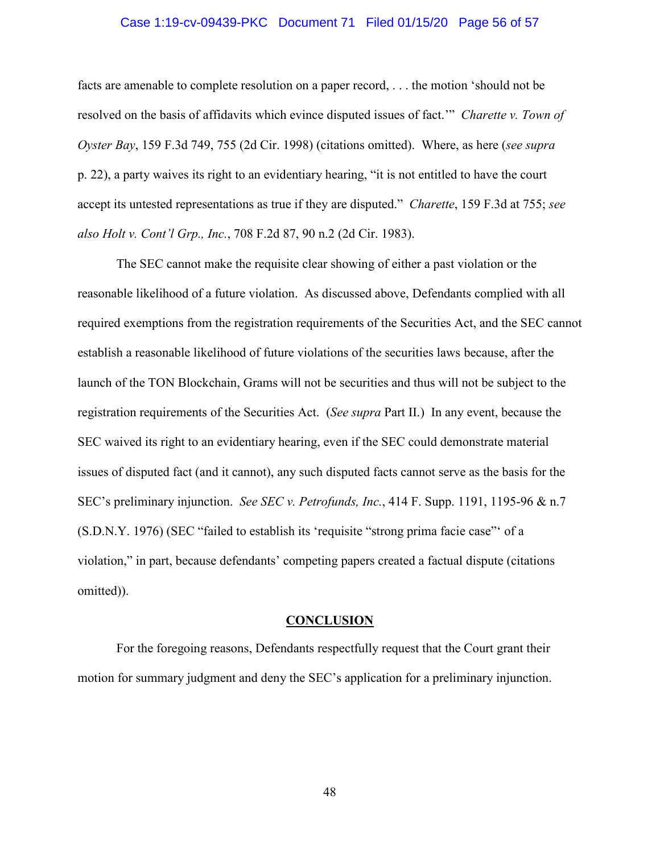### Case 1:19-cv-09439-PKC Document 71 Filed 01/15/20 Page 56 of 57

facts are amenable to complete resolution on a paper record, . . . the motion 'should not be resolved on the basis of affidavits which evince disputed issues of fact.'" *Charette v. Town of Oyster Bay*, 159 F.3d 749, 755 (2d Cir. 1998) (citations omitted). Where, as here (*see supra*  p. 22), a party waives its right to an evidentiary hearing, "it is not entitled to have the court accept its untested representations as true if they are disputed." *Charette*, 159 F.3d at 755; *see also Holt v. Cont'l Grp., Inc.*, 708 F.2d 87, 90 n.2 (2d Cir. 1983).

The SEC cannot make the requisite clear showing of either a past violation or the reasonable likelihood of a future violation. As discussed above, Defendants complied with all required exemptions from the registration requirements of the Securities Act, and the SEC cannot establish a reasonable likelihood of future violations of the securities laws because, after the launch of the TON Blockchain, Grams will not be securities and thus will not be subject to the registration requirements of the Securities Act. (*See supra* Part II.) In any event, because the SEC waived its right to an evidentiary hearing, even if the SEC could demonstrate material issues of disputed fact (and it cannot), any such disputed facts cannot serve as the basis for the SEC's preliminary injunction. *See SEC v. Petrofunds, Inc.*, 414 F. Supp. 1191, 1195-96 & n.7 (S.D.N.Y. 1976) (SEC "failed to establish its 'requisite "strong prima facie case"' of a violation," in part, because defendants' competing papers created a factual dispute (citations omitted)).

#### **CONCLUSION**

For the foregoing reasons, Defendants respectfully request that the Court grant their motion for summary judgment and deny the SEC's application for a preliminary injunction.